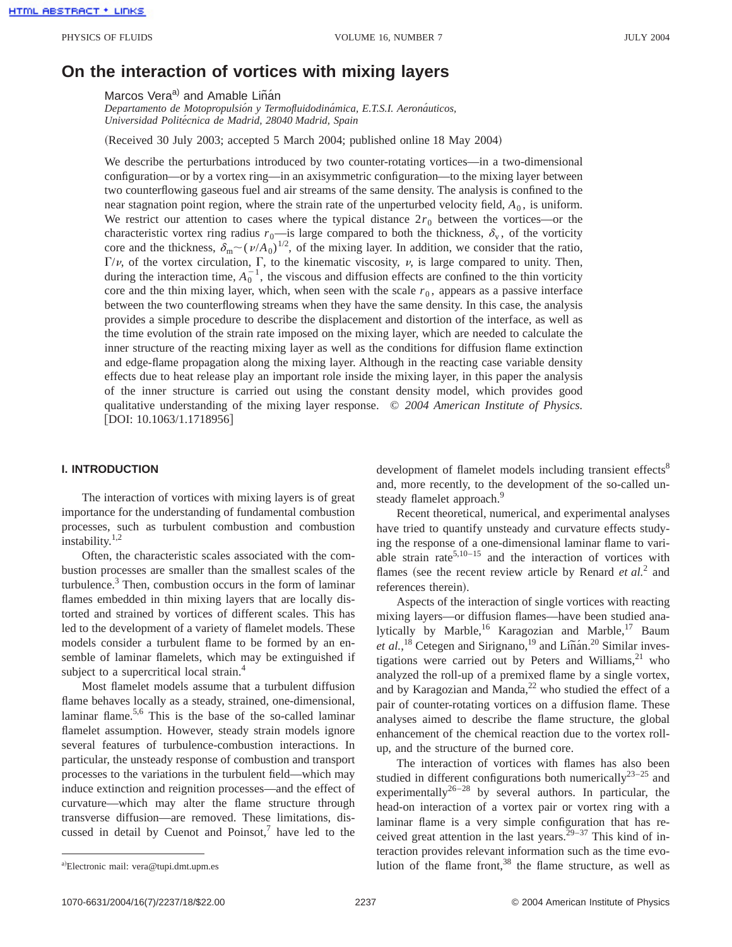# **On the interaction of vortices with mixing layers**

Marcos Vera<sup>a)</sup> and Amable Liñán

*Departamento de Motopropulsio´n y Termofluidodina´mica, E.T.S.I. Aerona´uticos, Universidad Polite´cnica de Madrid, 28040 Madrid, Spain*

(Received 30 July 2003; accepted 5 March 2004; published online 18 May 2004)

We describe the perturbations introduced by two counter-rotating vortices—in a two-dimensional configuration—or by a vortex ring—in an axisymmetric configuration—to the mixing layer between two counterflowing gaseous fuel and air streams of the same density. The analysis is confined to the near stagnation point region, where the strain rate of the unperturbed velocity field,  $A_0$ , is uniform. We restrict our attention to cases where the typical distance  $2r_0$  between the vortices—or the characteristic vortex ring radius  $r_0$ —is large compared to both the thickness,  $\delta_{\rm v}$ , of the vorticity core and the thickness,  $\delta_{\rm m} \sim (\nu/A_0)^{1/2}$ , of the mixing layer. In addition, we consider that the ratio,  $\Gamma/\nu$ , of the vortex circulation,  $\Gamma$ , to the kinematic viscosity,  $\nu$ , is large compared to unity. Then, during the interaction time,  $A_0^{-1}$ , the viscous and diffusion effects are confined to the thin vorticity core and the thin mixing layer, which, when seen with the scale  $r<sub>0</sub>$ , appears as a passive interface between the two counterflowing streams when they have the same density. In this case, the analysis provides a simple procedure to describe the displacement and distortion of the interface, as well as the time evolution of the strain rate imposed on the mixing layer, which are needed to calculate the inner structure of the reacting mixing layer as well as the conditions for diffusion flame extinction and edge-flame propagation along the mixing layer. Although in the reacting case variable density effects due to heat release play an important role inside the mixing layer, in this paper the analysis of the inner structure is carried out using the constant density model, which provides good qualitative understanding of the mixing layer response. © *2004 American Institute of Physics.* [DOI: 10.1063/1.1718956]

#### **I. INTRODUCTION**

The interaction of vortices with mixing layers is of great importance for the understanding of fundamental combustion processes, such as turbulent combustion and combustion instability. $1,2$ 

Often, the characteristic scales associated with the combustion processes are smaller than the smallest scales of the turbulence. $3$  Then, combustion occurs in the form of laminar flames embedded in thin mixing layers that are locally distorted and strained by vortices of different scales. This has led to the development of a variety of flamelet models. These models consider a turbulent flame to be formed by an ensemble of laminar flamelets, which may be extinguished if subject to a supercritical local strain.<sup>4</sup>

Most flamelet models assume that a turbulent diffusion flame behaves locally as a steady, strained, one-dimensional, laminar flame.<sup>5,6</sup> This is the base of the so-called laminar flamelet assumption. However, steady strain models ignore several features of turbulence-combustion interactions. In particular, the unsteady response of combustion and transport processes to the variations in the turbulent field—which may induce extinction and reignition processes—and the effect of curvature—which may alter the flame structure through transverse diffusion—are removed. These limitations, discussed in detail by Cuenot and Poinsot, $7$  have led to the

development of flamelet models including transient effects<sup>8</sup> and, more recently, to the development of the so-called unsteady flamelet approach.<sup>9</sup>

Recent theoretical, numerical, and experimental analyses have tried to quantify unsteady and curvature effects studying the response of a one-dimensional laminar flame to variable strain rate<sup>5,10–15</sup> and the interaction of vortices with flames (see the recent review article by Renard *et al.*<sup>2</sup> and references therein).

Aspects of the interaction of single vortices with reacting mixing layers—or diffusion flames—have been studied analytically by Marble,<sup>16</sup> Karagozian and Marble,<sup>17</sup> Baum *et al.*,<sup>18</sup> Cetegen and Sirignano,<sup>19</sup> and Liñán.<sup>20</sup> Similar investigations were carried out by Peters and Williams, $21$  who analyzed the roll-up of a premixed flame by a single vortex, and by Karagozian and Manda, $^{22}$  who studied the effect of a pair of counter-rotating vortices on a diffusion flame. These analyses aimed to describe the flame structure, the global enhancement of the chemical reaction due to the vortex rollup, and the structure of the burned core.

The interaction of vortices with flames has also been studied in different configurations both numerically<sup>23–25</sup> and experimentally<sup>26–28</sup> by several authors. In particular, the head-on interaction of a vortex pair or vortex ring with a laminar flame is a very simple configuration that has received great attention in the last years.<sup>29–37</sup> This kind of interaction provides relevant information such as the time evolution of the flame front, $38$  the flame structure, as well as

Electronic mail: vera@tupi.dmt.upm.es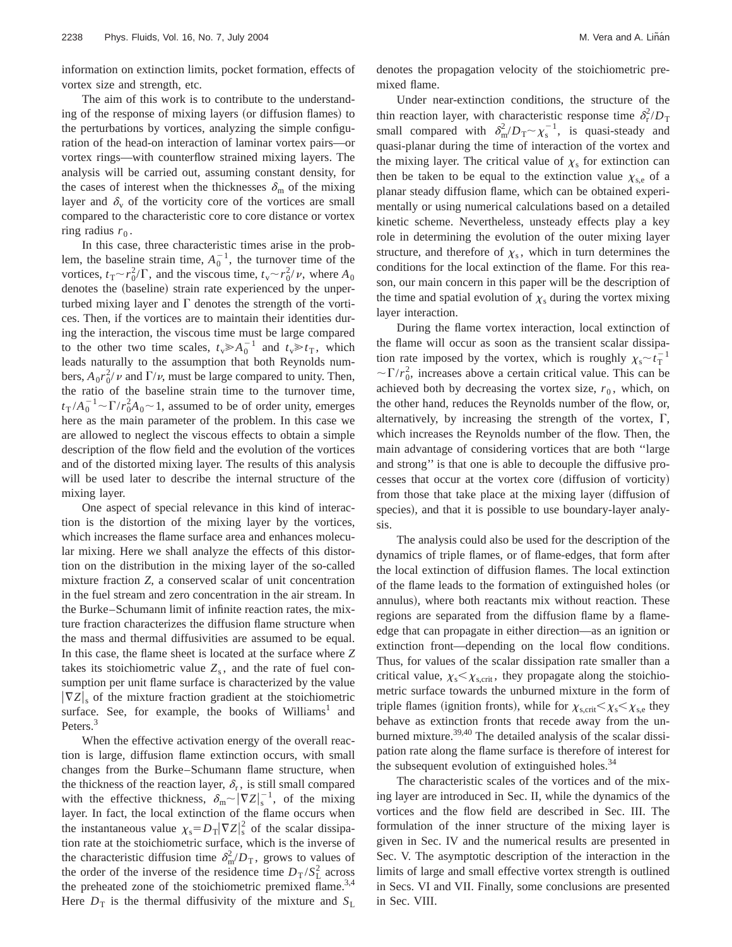information on extinction limits, pocket formation, effects of vortex size and strength, etc.

The aim of this work is to contribute to the understanding of the response of mixing layers (or diffusion flames) to the perturbations by vortices, analyzing the simple configuration of the head-on interaction of laminar vortex pairs—or vortex rings—with counterflow strained mixing layers. The analysis will be carried out, assuming constant density, for the cases of interest when the thicknesses  $\delta_{\rm m}$  of the mixing layer and  $\delta_{\rm v}$  of the vorticity core of the vortices are small compared to the characteristic core to core distance or vortex ring radius  $r_0$ .

In this case, three characteristic times arise in the problem, the baseline strain time,  $A_0^{-1}$ , the turnover time of the vortices,  $t_T \sim r_0^2/\Gamma$ , and the viscous time,  $t_v \sim r_0^2/\nu$ , where  $A_0$ denotes the (baseline) strain rate experienced by the unperturbed mixing layer and  $\Gamma$  denotes the strength of the vortices. Then, if the vortices are to maintain their identities during the interaction, the viscous time must be large compared to the other two time scales,  $t_v \ge A_0^{-1}$  and  $t_v \ge t_T$ , which leads naturally to the assumption that both Reynolds numbers,  $A_0 r_0^2 / \nu$  and  $\Gamma / \nu$ , must be large compared to unity. Then, the ratio of the baseline strain time to the turnover time,  $t_{\rm T}/A_0^{-1} \sim \Gamma/r_0^2 A_0 \sim 1$ , assumed to be of order unity, emerges here as the main parameter of the problem. In this case we are allowed to neglect the viscous effects to obtain a simple description of the flow field and the evolution of the vortices and of the distorted mixing layer. The results of this analysis will be used later to describe the internal structure of the mixing layer.

One aspect of special relevance in this kind of interaction is the distortion of the mixing layer by the vortices, which increases the flame surface area and enhances molecular mixing. Here we shall analyze the effects of this distortion on the distribution in the mixing layer of the so-called mixture fraction *Z*, a conserved scalar of unit concentration in the fuel stream and zero concentration in the air stream. In the Burke–Schumann limit of infinite reaction rates, the mixture fraction characterizes the diffusion flame structure when the mass and thermal diffusivities are assumed to be equal. In this case, the flame sheet is located at the surface where *Z* takes its stoichiometric value  $Z_s$ , and the rate of fuel consumption per unit flame surface is characterized by the value  $|\nabla Z|_{s}$  of the mixture fraction gradient at the stoichiometric surface. See, for example, the books of Williams<sup>1</sup> and Peters.<sup>3</sup>

When the effective activation energy of the overall reaction is large, diffusion flame extinction occurs, with small changes from the Burke–Schumann flame structure, when the thickness of the reaction layer,  $\delta_r$ , is still small compared with the effective thickness,  $\delta_{\rm m} \sim |\nabla Z|_{\rm s}^{-1}$ , of the mixing layer. In fact, the local extinction of the flame occurs when the instantaneous value  $\chi_s = D_T |\nabla Z|_s^2$  of the scalar dissipation rate at the stoichiometric surface, which is the inverse of the characteristic diffusion time  $\delta_{m}^{2}/D_{\text{T}}$ , grows to values of the order of the inverse of the residence time  $D_T / S_L^2$  across the preheated zone of the stoichiometric premixed flame.<sup>3,4</sup> Here  $D<sub>T</sub>$  is the thermal diffusivity of the mixture and  $S<sub>L</sub>$  denotes the propagation velocity of the stoichiometric premixed flame.

Under near-extinction conditions, the structure of the thin reaction layer, with characteristic response time  $\delta_r^2/D_T$ small compared with  $\delta_{\rm m}^2/D_{\rm T} \sim \chi_{\rm s}^{-1}$ , is quasi-steady and quasi-planar during the time of interaction of the vortex and the mixing layer. The critical value of  $\chi_s$  for extinction can then be taken to be equal to the extinction value  $\chi_{s,e}$  of a planar steady diffusion flame, which can be obtained experimentally or using numerical calculations based on a detailed kinetic scheme. Nevertheless, unsteady effects play a key role in determining the evolution of the outer mixing layer structure, and therefore of  $\chi_s$ , which in turn determines the conditions for the local extinction of the flame. For this reason, our main concern in this paper will be the description of the time and spatial evolution of  $\chi_s$  during the vortex mixing layer interaction.

During the flame vortex interaction, local extinction of the flame will occur as soon as the transient scalar dissipation rate imposed by the vortex, which is roughly  $\chi_{s} \sim t_{\rm T}^{-1}$  $\sim \Gamma/r_0^2$ , increases above a certain critical value. This can be achieved both by decreasing the vortex size,  $r_0$ , which, on the other hand, reduces the Reynolds number of the flow, or, alternatively, by increasing the strength of the vortex,  $\Gamma$ , which increases the Reynolds number of the flow. Then, the main advantage of considering vortices that are both ''large and strong'' is that one is able to decouple the diffusive processes that occur at the vortex core (diffusion of vorticity) from those that take place at the mixing layer (diffusion of species), and that it is possible to use boundary-layer analysis.

The analysis could also be used for the description of the dynamics of triple flames, or of flame-edges, that form after the local extinction of diffusion flames. The local extinction of the flame leads to the formation of extinguished holes (or annulus), where both reactants mix without reaction. These regions are separated from the diffusion flame by a flameedge that can propagate in either direction—as an ignition or extinction front—depending on the local flow conditions. Thus, for values of the scalar dissipation rate smaller than a critical value,  $\chi_{\rm s} < \chi_{\rm s,crit}$ , they propagate along the stoichiometric surface towards the unburned mixture in the form of triple flames (ignition fronts), while for  $\chi_{s, crit} < \chi_s < \chi_{s,e}$  they behave as extinction fronts that recede away from the unburned mixture.<sup>39,40</sup> The detailed analysis of the scalar dissipation rate along the flame surface is therefore of interest for the subsequent evolution of extinguished holes. $34$ 

The characteristic scales of the vortices and of the mixing layer are introduced in Sec. II, while the dynamics of the vortices and the flow field are described in Sec. III. The formulation of the inner structure of the mixing layer is given in Sec. IV and the numerical results are presented in Sec. V. The asymptotic description of the interaction in the limits of large and small effective vortex strength is outlined in Secs. VI and VII. Finally, some conclusions are presented in Sec. VIII.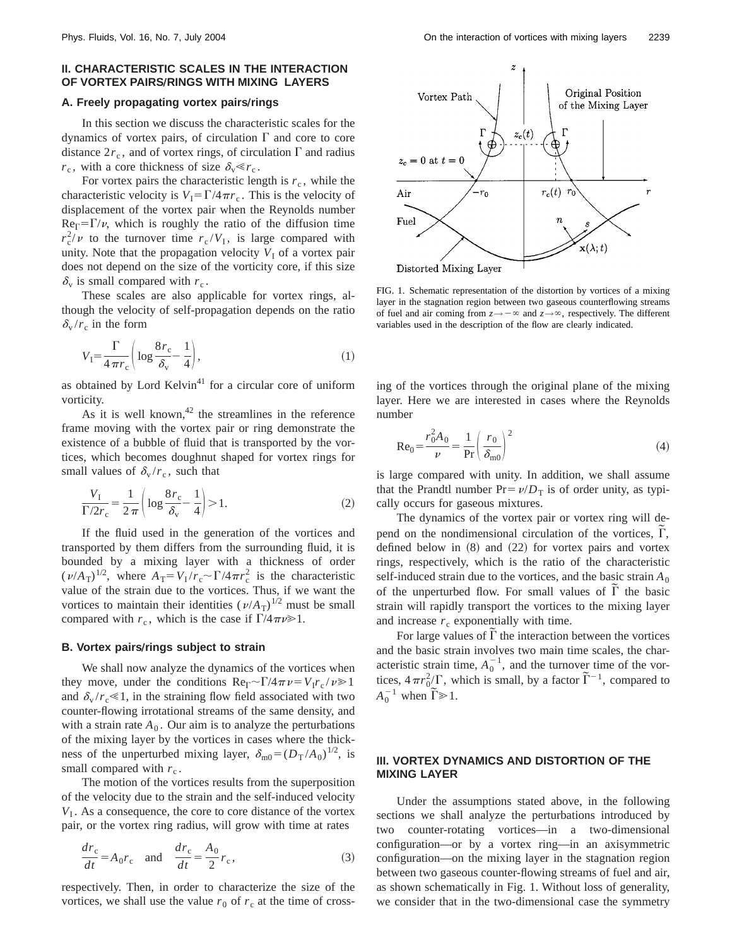## **II. CHARACTERISTIC SCALES IN THE INTERACTION OF VORTEX PAIRS/RINGS WITH MIXING LAYERS**

#### **A. Freely propagating vortex pairs/rings**

In this section we discuss the characteristic scales for the dynamics of vortex pairs, of circulation  $\Gamma$  and core to core distance  $2r_c$ , and of vortex rings, of circulation  $\Gamma$  and radius  $r_c$ , with a core thickness of size  $\delta_v \ll r_c$ .

For vortex pairs the characteristic length is  $r_c$ , while the characteristic velocity is  $V_1 = \Gamma/4\pi r_c$ . This is the velocity of displacement of the vortex pair when the Reynolds number  $Re_{\Gamma} = \Gamma/\nu$ , which is roughly the ratio of the diffusion time  $r_c^2/\nu$  to the turnover time  $r_c/V_I$ , is large compared with unity. Note that the propagation velocity  $V_I$  of a vortex pair does not depend on the size of the vorticity core, if this size  $\delta_{\rm v}$  is small compared with  $r_{\rm c}$ .

These scales are also applicable for vortex rings, although the velocity of self-propagation depends on the ratio  $\delta_{\rm v}/r_{\rm c}$  in the form

$$
V_{\rm I} = \frac{\Gamma}{4\,\pi r_{\rm c}} \left( \log \frac{8r_{\rm c}}{\delta_{\rm v}} - \frac{1}{4} \right),\tag{1}
$$

as obtained by Lord Kelvin<sup>41</sup> for a circular core of uniform vorticity.

As it is well known,  $42$  the streamlines in the reference frame moving with the vortex pair or ring demonstrate the existence of a bubble of fluid that is transported by the vortices, which becomes doughnut shaped for vortex rings for small values of  $\delta_{\rm v}/r_{\rm c}$ , such that

$$
\frac{V_{\rm I}}{\Gamma/2r_{\rm c}} = \frac{1}{2\,\pi} \left( \log \frac{8\,r_{\rm c}}{\delta_{\rm v}} - \frac{1}{4} \right) > 1. \tag{2}
$$

If the fluid used in the generation of the vortices and transported by them differs from the surrounding fluid, it is bounded by a mixing layer with a thickness of order  $(\nu/A_T)^{1/2}$ , where  $A_T = V_I/r_c \sim \Gamma/4\pi r_c^2$  is the characteristic value of the strain due to the vortices. Thus, if we want the vortices to maintain their identities  $(\nu/A_T)^{1/2}$  must be small compared with  $r_c$ , which is the case if  $\Gamma/4\pi\nu\gg1$ .

#### **B. Vortex pairs/rings subject to strain**

We shall now analyze the dynamics of the vortices when they move, under the conditions  $\text{Re}_{\Gamma} \sim \Gamma/4\pi \nu = V_1 r_c / \nu \ge 1$ and  $\delta_{\rm v}/r_{\rm c} \ll 1$ , in the straining flow field associated with two counter-flowing irrotational streams of the same density, and with a strain rate  $A_0$ . Our aim is to analyze the perturbations of the mixing layer by the vortices in cases where the thickness of the unperturbed mixing layer,  $\delta_{\text{m0}} = (D_T / A_0)^{1/2}$ , is small compared with  $r_c$ .

The motion of the vortices results from the superposition of the velocity due to the strain and the self-induced velocity  $V_I$ . As a consequence, the core to core distance of the vortex pair, or the vortex ring radius, will grow with time at rates

$$
\frac{dr_c}{dt} = A_0 r_c \quad \text{and} \quad \frac{dr_c}{dt} = \frac{A_0}{2} r_c,
$$
 (3)

respectively. Then, in order to characterize the size of the vortices, we shall use the value  $r_0$  of  $r_c$  at the time of cross-



FIG. 1. Schematic representation of the distortion by vortices of a mixing layer in the stagnation region between two gaseous counterflowing streams of fuel and air coming from  $z \rightarrow -\infty$  and  $z \rightarrow \infty$ , respectively. The different variables used in the description of the flow are clearly indicated.

ing of the vortices through the original plane of the mixing layer. Here we are interested in cases where the Reynolds number

$$
Re_0 = \frac{r_0^2 A_0}{\nu} = \frac{1}{Pr} \left( \frac{r_0}{\delta_{m0}} \right)^2
$$
 (4)

is large compared with unity. In addition, we shall assume that the Prandtl number  $Pr = \nu/D_T$  is of order unity, as typically occurs for gaseous mixtures.

The dynamics of the vortex pair or vortex ring will depend on the nondimensional circulation of the vortices,  $\tilde{\Gamma}$ , defined below in  $(8)$  and  $(22)$  for vortex pairs and vortex rings, respectively, which is the ratio of the characteristic self-induced strain due to the vortices, and the basic strain  $A_0$ of the unperturbed flow. For small values of  $\tilde{\Gamma}$  the basic strain will rapidly transport the vortices to the mixing layer and increase  $r_c$  exponentially with time.

For large values of  $\tilde{\Gamma}$  the interaction between the vortices and the basic strain involves two main time scales, the characteristic strain time,  $A_0^{-1}$ , and the turnover time of the vortices,  $4\pi r_0^2/\Gamma$ , which is small, by a factor  $\tilde{\Gamma}^{-1}$ , compared to  $A_0^{-1}$  when  $\tilde{\Gamma} \ge 1$ .

### **III. VORTEX DYNAMICS AND DISTORTION OF THE MIXING LAYER**

Under the assumptions stated above, in the following sections we shall analyze the perturbations introduced by two counter-rotating vortices—in a two-dimensional configuration—or by a vortex ring—in an axisymmetric configuration—on the mixing layer in the stagnation region between two gaseous counter-flowing streams of fuel and air, as shown schematically in Fig. 1. Without loss of generality, we consider that in the two-dimensional case the symmetry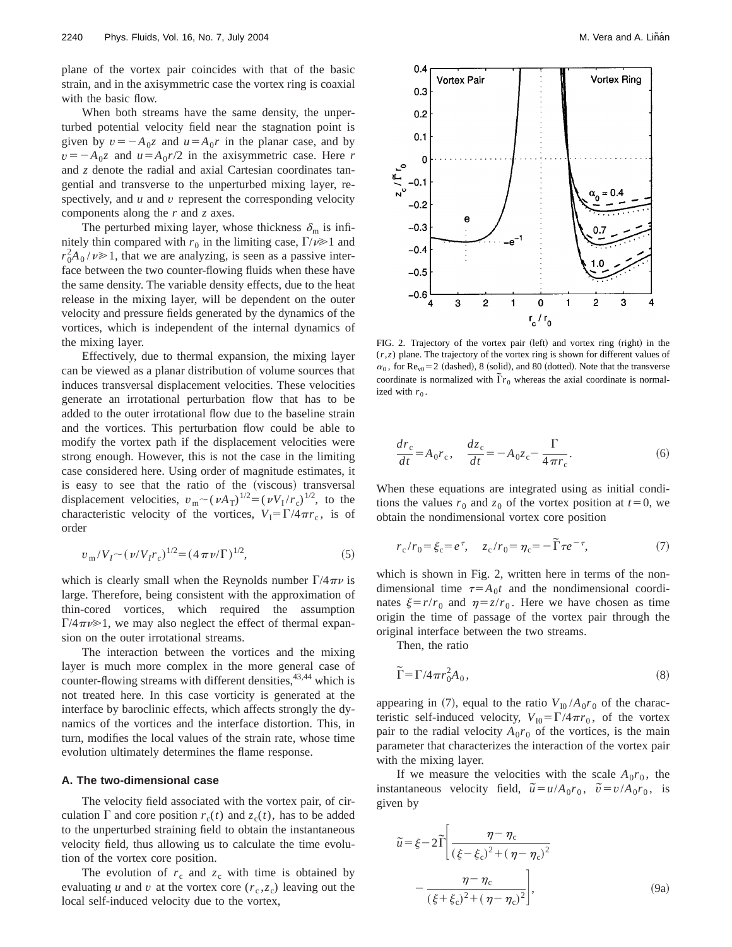plane of the vortex pair coincides with that of the basic strain, and in the axisymmetric case the vortex ring is coaxial with the basic flow.

When both streams have the same density, the unperturbed potential velocity field near the stagnation point is given by  $v = -A_0 z$  and  $u = A_0 r$  in the planar case, and by  $v = -A_0 z$  and  $u = A_0 r/2$  in the axisymmetric case. Here *r* and *z* denote the radial and axial Cartesian coordinates tangential and transverse to the unperturbed mixing layer, respectively, and *u* and *v* represent the corresponding velocity components along the *r* and *z* axes.

The perturbed mixing layer, whose thickness  $\delta_{\rm m}$  is infinitely thin compared with  $r_0$  in the limiting case,  $\Gamma/\nu \ge 1$  and  $r_0^2 A_0 / \nu \ge 1$ , that we are analyzing, is seen as a passive interface between the two counter-flowing fluids when these have the same density. The variable density effects, due to the heat release in the mixing layer, will be dependent on the outer velocity and pressure fields generated by the dynamics of the vortices, which is independent of the internal dynamics of the mixing layer.

Effectively, due to thermal expansion, the mixing layer can be viewed as a planar distribution of volume sources that induces transversal displacement velocities. These velocities generate an irrotational perturbation flow that has to be added to the outer irrotational flow due to the baseline strain and the vortices. This perturbation flow could be able to modify the vortex path if the displacement velocities were strong enough. However, this is not the case in the limiting case considered here. Using order of magnitude estimates, it is easy to see that the ratio of the (viscous) transversal displacement velocities,  $v_m \sim (\nu A_T)^{1/2} = (\nu V_I / r_c)^{1/2}$ , to the characteristic velocity of the vortices,  $V_1 = \Gamma/4\pi r_c$ , is of order

$$
v_{\rm m}/V_I \sim (\nu/V_I r_c)^{1/2} = (4\,\pi\nu/\Gamma)^{1/2},\tag{5}
$$

which is clearly small when the Reynolds number  $\Gamma/4\pi\nu$  is large. Therefore, being consistent with the approximation of thin-cored vortices, which required the assumption  $\Gamma/4\pi\nu\geq 1$ , we may also neglect the effect of thermal expansion on the outer irrotational streams.

The interaction between the vortices and the mixing layer is much more complex in the more general case of counter-flowing streams with different densities,<sup>43,44</sup> which is not treated here. In this case vorticity is generated at the interface by baroclinic effects, which affects strongly the dynamics of the vortices and the interface distortion. This, in turn, modifies the local values of the strain rate, whose time evolution ultimately determines the flame response.

#### **A. The two-dimensional case**

The velocity field associated with the vortex pair, of circulation  $\Gamma$  and core position  $r_c(t)$  and  $z_c(t)$ , has to be added to the unperturbed straining field to obtain the instantaneous velocity field, thus allowing us to calculate the time evolution of the vortex core position.

The evolution of  $r_c$  and  $z_c$  with time is obtained by evaluating *u* and *v* at the vortex core  $(r_c, z_c)$  leaving out the local self-induced velocity due to the vortex,



FIG. 2. Trajectory of the vortex pair (left) and vortex ring (right) in the (*r*,*z*) plane. The trajectory of the vortex ring is shown for different values of  $\alpha_0$ , for Re<sub>v0</sub>=2 (dashed), 8 (solid), and 80 (dotted). Note that the transverse coordinate is normalized with  $\tilde{\Gamma}r_0$  whereas the axial coordinate is normalized with  $r_0$ .

$$
\frac{dr_c}{dt} = A_0 r_c, \quad \frac{dz_c}{dt} = -A_0 z_c - \frac{\Gamma}{4\pi r_c}.
$$
 (6)

When these equations are integrated using as initial conditions the values  $r_0$  and  $z_0$  of the vortex position at  $t=0$ , we obtain the nondimensional vortex core position

$$
r_{\rm c}/r_0 = \xi_{\rm c} = e^{\tau}, \quad z_{\rm c}/r_0 = \eta_{\rm c} = -\tilde{\Gamma}\tau e^{-\tau}, \tag{7}
$$

which is shown in Fig. 2, written here in terms of the nondimensional time  $\tau = A_0 t$  and the nondimensional coordinates  $\xi = r/r_0$  and  $\eta = z/r_0$ . Here we have chosen as time origin the time of passage of the vortex pair through the original interface between the two streams.

Then, the ratio

$$
\widetilde{\Gamma} = \Gamma / 4 \pi r_0^2 A_0, \tag{8}
$$

appearing in (7), equal to the ratio  $V_{10} / A_0 r_0$  of the characteristic self-induced velocity,  $V_{10} = \Gamma/4\pi r_0$ , of the vortex pair to the radial velocity  $A_0r_0$  of the vortices, is the main parameter that characterizes the interaction of the vortex pair with the mixing layer.

If we measure the velocities with the scale  $A_0r_0$ , the instantaneous velocity field,  $\tilde{u} = u/A_0r_0$ ,  $\tilde{v} = v/A_0r_0$ , is given by

$$
\tilde{u} = \xi - 2\tilde{\Gamma} \left[ \frac{\eta - \eta_c}{(\xi - \xi_c)^2 + (\eta - \eta_c)^2} - \frac{\eta - \eta_c}{(\xi + \xi_c)^2 + (\eta - \eta_c)^2} \right],
$$
\n(9a)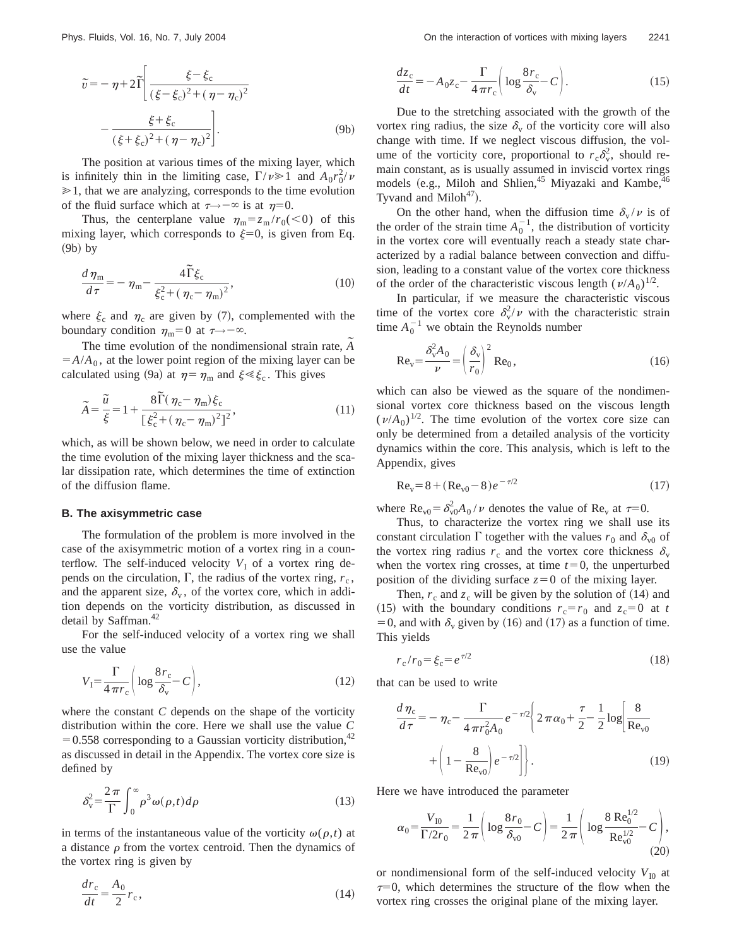$$
\tilde{v} = -\eta + 2\tilde{\Gamma}\left[\frac{\xi - \xi_c}{(\xi - \xi_c)^2 + (\eta - \eta_c)^2} - \frac{\xi + \xi_c}{(\xi + \xi_c)^2 + (\eta - \eta_c)^2}\right].
$$
\n(9b)

The position at various times of the mixing layer, which is infinitely thin in the limiting case,  $\Gamma/\nu \ge 1$  and  $A_0 r_0^2/\nu$  $\geq 1$ , that we are analyzing, corresponds to the time evolution of the fluid surface which at  $\tau \rightarrow -\infty$  is at  $\eta=0$ .

Thus, the centerplane value  $\eta_m = z_m / r_0(\leq 0)$  of this mixing layer, which corresponds to  $\xi=0$ , is given from Eq.  $(9b)$  by

$$
\frac{d\,\eta_{\mathrm{m}}}{d\,\tau} = -\,\eta_{\mathrm{m}} - \frac{4\,\widetilde{\Gamma}\,\xi_{\mathrm{c}}}{\xi_{\mathrm{c}}^2 + \left(\,\eta_{\mathrm{c}} - \,\eta_{\mathrm{m}}\right)^2},\tag{10}
$$

where  $\xi_c$  and  $\eta_c$  are given by (7), complemented with the boundary condition  $\eta_m=0$  at  $\tau \rightarrow -\infty$ .

The time evolution of the nondimensional strain rate,  $\tilde{A}$  $=$ *A*/ $A<sub>0</sub>$ , at the lower point region of the mixing layer can be calculated using (9a) at  $\eta = \eta_m$  and  $\xi \ll \xi_c$ . This gives

$$
\widetilde{A} = \frac{\widetilde{u}}{\xi} = 1 + \frac{8\widetilde{\Gamma}(\eta_{\rm c} - \eta_{\rm m})\xi_{\rm c}}{\left[\xi_{\rm c}^2 + (\eta_{\rm c} - \eta_{\rm m})^2\right]^2},\tag{11}
$$

which, as will be shown below, we need in order to calculate the time evolution of the mixing layer thickness and the scalar dissipation rate, which determines the time of extinction of the diffusion flame.

#### **B. The axisymmetric case**

The formulation of the problem is more involved in the case of the axisymmetric motion of a vortex ring in a counterflow. The self-induced velocity  $V_I$  of a vortex ring depends on the circulation,  $\Gamma$ , the radius of the vortex ring,  $r_c$ , and the apparent size,  $\delta_{v}$ , of the vortex core, which in addition depends on the vorticity distribution, as discussed in detail by Saffman.<sup>42</sup>

For the self-induced velocity of a vortex ring we shall use the value

$$
V_{\rm I} = \frac{\Gamma}{4\,\pi r_{\rm c}} \bigg( \log \frac{8r_{\rm c}}{\delta_{\rm v}} - C \bigg),\tag{12}
$$

where the constant *C* depends on the shape of the vorticity distribution within the core. Here we shall use the value *C*  $=0.558$  corresponding to a Gaussian vorticity distribution,<sup>42</sup> as discussed in detail in the Appendix. The vortex core size is defined by

$$
\delta_{\rm v}^2 = \frac{2\,\pi}{\Gamma} \int_0^\infty \rho^3 \omega(\rho, t) d\rho \tag{13}
$$

in terms of the instantaneous value of the vorticity  $\omega(\rho,t)$  at a distance  $\rho$  from the vortex centroid. Then the dynamics of the vortex ring is given by

$$
\frac{dr_{\rm c}}{dt} = \frac{A_0}{2}r_{\rm c},\tag{14}
$$

$$
\frac{dz_c}{dt} = -A_0 z_c - \frac{\Gamma}{4 \pi r_c} \left( \log \frac{8r_c}{\delta_v} - C \right).
$$
 (15)

Due to the stretching associated with the growth of the vortex ring radius, the size  $\delta_{\rm v}$  of the vorticity core will also change with time. If we neglect viscous diffusion, the volume of the vorticity core, proportional to  $r_c \delta_v^2$ , should remain constant, as is usually assumed in inviscid vortex rings models  $(e.g.,$  Miloh and Shlien,<sup>45</sup> Miyazaki and Kambe,<sup>46</sup> Tyvand and Miloh $47$ ).

On the other hand, when the diffusion time  $\delta_{\rm v}/\nu$  is of the order of the strain time  $A_0^{-1}$ , the distribution of vorticity in the vortex core will eventually reach a steady state characterized by a radial balance between convection and diffusion, leading to a constant value of the vortex core thickness of the order of the characteristic viscous length  $(\nu/A_0)^{1/2}$ .

In particular, if we measure the characteristic viscous time of the vortex core  $\delta_{\rm v}^2/\nu$  with the characteristic strain time  $A_0^{-1}$  we obtain the Reynolds number

$$
\text{Re}_\text{v} = \frac{\delta_v^2 A_0}{\nu} = \left(\frac{\delta_v}{r_0}\right)^2 \text{Re}_0,\tag{16}
$$

which can also be viewed as the square of the nondimensional vortex core thickness based on the viscous length  $(\nu/A_0)^{1/2}$ . The time evolution of the vortex core size can only be determined from a detailed analysis of the vorticity dynamics within the core. This analysis, which is left to the Appendix, gives

$$
Re_v = 8 + (Re_{v0} - 8)e^{-\tau/2}
$$
 (17)

where  $\text{Re}_{v0} = \delta_{v0}^2 A_0 / \nu$  denotes the value of  $\text{Re}_v$  at  $\tau=0$ .

Thus, to characterize the vortex ring we shall use its constant circulation  $\Gamma$  together with the values  $r_0$  and  $\delta_{\rm v0}$  of the vortex ring radius  $r_c$  and the vortex core thickness  $\delta_{\rm v}$ when the vortex ring crosses, at time  $t=0$ , the unperturbed position of the dividing surface  $z=0$  of the mixing layer.

Then,  $r_c$  and  $z_c$  will be given by the solution of (14) and (15) with the boundary conditions  $r_c = r_0$  and  $z_c = 0$  at *t* = 0, and with  $\delta_{\rm v}$  given by (16) and (17) as a function of time. This yields

$$
r_{\rm c}/r_0 = \xi_{\rm c} = e^{\tau/2} \tag{18}
$$

that can be used to write

$$
\frac{d\,\eta_{\rm c}}{d\,\tau} = -\,\eta_{\rm c} - \frac{\Gamma}{4\,\pi\,r_{0}^{2}A_{0}}\,e^{-\,\tau/2}\Bigg\{2\,\pi\,\alpha_{0} + \frac{\tau}{2} - \frac{1}{2}\log\Bigg[\frac{8}{\text{Re}_{\text{v0}}}\Bigg.\Bigg.
$$
\n
$$
+ \left(1 - \frac{8}{\text{Re}_{\text{v0}}}\right)e^{-\,\tau/2}\Bigg]\Bigg\}.\tag{19}
$$

Here we have introduced the parameter

$$
\alpha_0 = \frac{V_{\rm I0}}{\Gamma/2r_0} = \frac{1}{2\,\pi} \bigg( \log \frac{8\,r_0}{\delta_{\rm v0}} - C \bigg) = \frac{1}{2\,\pi} \bigg( \log \frac{8\,\text{Re}_0^{1/2}}{\text{Re}_{\rm v0}^{1/2}} - C \bigg),\tag{20}
$$

or nondimensional form of the self-induced velocity  $V_{10}$  at  $\tau=0$ , which determines the structure of the flow when the vortex ring crosses the original plane of the mixing layer.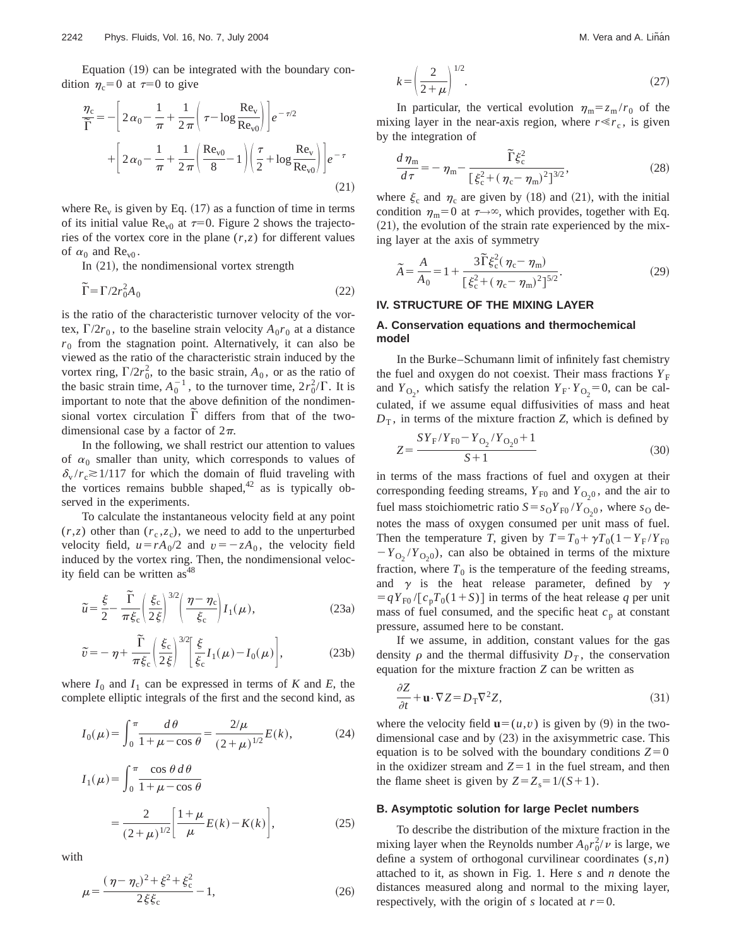Equation  $(19)$  can be integrated with the boundary condition  $\eta_c=0$  at  $\tau=0$  to give

$$
\frac{\eta_{\rm c}}{\widetilde{\Gamma}} = -\left[2\alpha_0 - \frac{1}{\pi} + \frac{1}{2\pi} \left(\tau - \log \frac{\text{Re}_{\text{v}}}{\text{Re}_{\text{v0}}}\right)\right] e^{-\tau/2} + \left[2\alpha_0 - \frac{1}{\pi} + \frac{1}{2\pi} \left(\frac{\text{Re}_{\text{v0}}}{8} - 1\right) \left(\frac{\tau}{2} + \log \frac{\text{Re}_{\text{v}}}{\text{Re}_{\text{v0}}}\right)\right] e^{-\tau}
$$
\n(21)

where  $\text{Re}_y$  is given by Eq. (17) as a function of time in terms of its initial value  $\text{Re}_{v0}$  at  $\tau=0$ . Figure 2 shows the trajectories of the vortex core in the plane  $(r, z)$  for different values of  $\alpha_0$  and  $\text{Re}_{\text{v0}}$ .

In  $(21)$ , the nondimensional vortex strength

$$
\widetilde{\Gamma} = \Gamma / 2r_0^2 A_0 \tag{22}
$$

is the ratio of the characteristic turnover velocity of the vortex,  $\Gamma/2r_0$ , to the baseline strain velocity  $A_0r_0$  at a distance  $r<sub>0</sub>$  from the stagnation point. Alternatively, it can also be viewed as the ratio of the characteristic strain induced by the vortex ring,  $\Gamma/2r_0^2$ , to the basic strain,  $A_0$ , or as the ratio of the basic strain time,  $A_0^{-1}$ , to the turnover time,  $2r_0^2/\Gamma$ . It is important to note that the above definition of the nondimen- $\frac{1}{\pi}$  sional vortex circulation  $\overline{\Gamma}$  differs from that of the twodimensional case by a factor of  $2\pi$ .

In the following, we shall restrict our attention to values of  $\alpha_0$  smaller than unity, which corresponds to values of  $\delta_{\rm v}/r_{\rm c} \gtrsim 1/117$  for which the domain of fluid traveling with the vortices remains bubble shaped, $42$  as is typically observed in the experiments.

To calculate the instantaneous velocity field at any point  $(r, z)$  other than  $(r_c, z_c)$ , we need to add to the unperturbed velocity field,  $u = rA_0/2$  and  $v = -zA_0$ , the velocity field induced by the vortex ring. Then, the nondimensional velocity field can be written  $as<sup>48</sup>$ 

$$
\widetilde{u} = \frac{\xi}{2} - \frac{\widetilde{\Gamma}}{\pi \xi_c} \left( \frac{\xi_c}{2 \xi} \right)^{3/2} \left( \frac{\eta - \eta_c}{\xi_c} \right) I_1(\mu), \tag{23a}
$$

$$
\widetilde{v} = -\eta + \frac{\widetilde{\Gamma}}{\pi \xi_c} \left( \frac{\xi_c}{2\xi} \right)^{3/2} \left[ \frac{\xi}{\xi_c} I_1(\mu) - I_0(\mu) \right],\tag{23b}
$$

where  $I_0$  and  $I_1$  can be expressed in terms of *K* and *E*, the complete elliptic integrals of the first and the second kind, as

$$
I_0(\mu) = \int_0^{\pi} \frac{d\theta}{1 + \mu - \cos\theta} = \frac{2/\mu}{(2 + \mu)^{1/2}} E(k),
$$
 (24)

$$
I_1(\mu) = \int_0^\pi \frac{\cos \theta \, d\theta}{1 + \mu - \cos \theta}
$$
  
= 
$$
\frac{2}{(2 + \mu)^{1/2}} \left[ \frac{1 + \mu}{\mu} E(k) - K(k) \right],
$$
 (25)

with

$$
\mu = \frac{(\eta - \eta_c)^2 + \xi^2 + \xi_c^2}{2\xi\xi_c} - 1,\tag{26}
$$

$$
k = \left(\frac{2}{2+\mu}\right)^{1/2}.\tag{27}
$$

In particular, the vertical evolution  $\eta_{\rm m} = z_{\rm m}/r_0$  of the mixing layer in the near-axis region, where  $r \ll r_c$ , is given by the integration of

$$
\frac{d\,\eta_{\rm m}}{d\,\tau} = -\,\eta_{\rm m} - \frac{\widetilde{\Gamma}\,\xi_{\rm c}^2}{\left[\,\xi_{\rm c}^2 + (\,\eta_{\rm c} - \,\eta_{\rm m})^2\right]^{3/2}},\tag{28}
$$

where  $\xi_c$  and  $\eta_c$  are given by (18) and (21), with the initial condition  $\eta_m=0$  at  $\tau \rightarrow \infty$ , which provides, together with Eq.  $(21)$ , the evolution of the strain rate experienced by the mixing layer at the axis of symmetry

$$
\widetilde{A} = \frac{A}{A_0} = 1 + \frac{3\widetilde{\Gamma}\xi_c^2(\eta_c - \eta_m)}{\left[\xi_c^2 + (\eta_c - \eta_m)^2\right]^{5/2}}.
$$
\n(29)

#### **IV. STRUCTURE OF THE MIXING LAYER**

#### **A. Conservation equations and thermochemical model**

In the Burke–Schumann limit of infinitely fast chemistry the fuel and oxygen do not coexist. Their mass fractions  $Y_F$ and  $Y_{\text{O}_2}$ , which satisfy the relation  $Y_F \cdot Y_{\text{O}_2} = 0$ , can be calculated, if we assume equal diffusivities of mass and heat  $D<sub>T</sub>$ , in terms of the mixture fraction *Z*, which is defined by

$$
Z = \frac{SY_{F}/Y_{F0} - Y_{O_2}/Y_{O_20} + 1}{S + 1}
$$
\n(30)

in terms of the mass fractions of fuel and oxygen at their corresponding feeding streams,  $Y_{F0}$  and  $Y_{O<sub>2</sub>0}$ , and the air to fuel mass stoichiometric ratio  $S = s_0 Y_{F0} / Y_{O_2 0}$ , where  $s_0$  denotes the mass of oxygen consumed per unit mass of fuel. Then the temperature *T*, given by  $T = T_0 + \gamma T_0 (1 - Y_F / Y_{F0})$  $-Y_{\text{O}_2}/Y_{\text{O}_2,0}$ , can also be obtained in terms of the mixture fraction, where  $T_0$  is the temperature of the feeding streams, and  $\gamma$  is the heat release parameter, defined by  $\gamma$  $= qY_{F0} / [c_pT_0(1+S)]$  in terms of the heat release q per unit mass of fuel consumed, and the specific heat  $c_p$  at constant pressure, assumed here to be constant.

If we assume, in addition, constant values for the gas density  $\rho$  and the thermal diffusivity  $D_T$ , the conservation equation for the mixture fraction *Z* can be written as

$$
\frac{\partial Z}{\partial t} + \mathbf{u} \cdot \nabla Z = D_{\mathrm{T}} \nabla^2 Z,\tag{31}
$$

where the velocity field  $\mathbf{u}=(u,v)$  is given by (9) in the twodimensional case and by  $(23)$  in the axisymmetric case. This equation is to be solved with the boundary conditions  $Z=0$ in the oxidizer stream and  $Z=1$  in the fuel stream, and then the flame sheet is given by  $Z = Z_s = 1/(S+1)$ .

#### **B. Asymptotic solution for large Peclet numbers**

To describe the distribution of the mixture fraction in the mixing layer when the Reynolds number  $A_0 r_0^2 / \nu$  is large, we define a system of orthogonal curvilinear coordinates (*s*,*n*) attached to it, as shown in Fig. 1. Here *s* and *n* denote the distances measured along and normal to the mixing layer, respectively, with the origin of *s* located at  $r=0$ .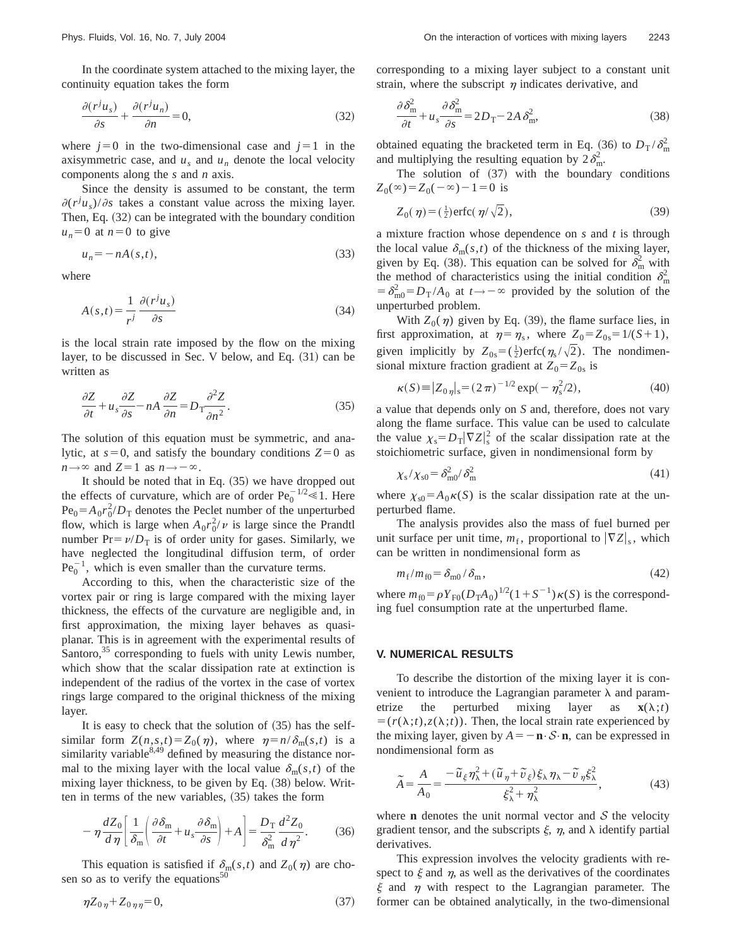In the coordinate system attached to the mixing layer, the continuity equation takes the form

$$
\frac{\partial (r^j u_s)}{\partial s} + \frac{\partial (r^j u_n)}{\partial n} = 0,
$$
\n(32)

where  $j=0$  in the two-dimensional case and  $j=1$  in the axisymmetric case, and  $u_s$  and  $u_n$  denote the local velocity components along the *s* and *n* axis.

Since the density is assumed to be constant, the term  $\partial (r^j u_s)/\partial s$  takes a constant value across the mixing layer. Then, Eq.  $(32)$  can be integrated with the boundary condition  $u_n=0$  at  $n=0$  to give

$$
u_n = -nA(s,t),\tag{33}
$$

where

$$
A(s,t) = \frac{1}{r^j} \frac{\partial (r^j u_s)}{\partial s} \tag{34}
$$

is the local strain rate imposed by the flow on the mixing layer, to be discussed in Sec. V below, and Eq.  $(31)$  can be written as

$$
\frac{\partial Z}{\partial t} + u_s \frac{\partial Z}{\partial s} - nA \frac{\partial Z}{\partial n} = D \frac{\partial^2 Z}{\partial n^2}.
$$
 (35)

The solution of this equation must be symmetric, and analytic, at  $s=0$ , and satisfy the boundary conditions  $Z=0$  as  $n \rightarrow \infty$  and  $Z=1$  as  $n \rightarrow -\infty$ .

It should be noted that in Eq.  $(35)$  we have dropped out the effects of curvature, which are of order  $Pe_0^{-1/2} \le 1$ . Here  $Pe_0 = A_0 r_0^2/D_T$  denotes the Peclet number of the unperturbed flow, which is large when  $A_0 r_0^2 / \nu$  is large since the Prandtl number  $Pr = \nu/D_T$  is of order unity for gases. Similarly, we have neglected the longitudinal diffusion term, of order  $\text{Pe}_0^{-1}$ , which is even smaller than the curvature terms.

According to this, when the characteristic size of the vortex pair or ring is large compared with the mixing layer thickness, the effects of the curvature are negligible and, in first approximation, the mixing layer behaves as quasiplanar. This is in agreement with the experimental results of Santoro, $35$  corresponding to fuels with unity Lewis number, which show that the scalar dissipation rate at extinction is independent of the radius of the vortex in the case of vortex rings large compared to the original thickness of the mixing layer.

It is easy to check that the solution of  $(35)$  has the selfsimilar form  $Z(n,s,t) = Z_0(\eta)$ , where  $\eta = n/\delta_m(s,t)$  is a similarity variable  $8,49$  defined by measuring the distance normal to the mixing layer with the local value  $\delta_m(s,t)$  of the mixing layer thickness, to be given by Eq.  $(38)$  below. Written in terms of the new variables,  $(35)$  takes the form

$$
-\eta \frac{dZ_0}{d\eta} \left[ \frac{1}{\delta_m} \left( \frac{\partial \delta_m}{\partial t} + u_s \frac{\partial \delta_m}{\partial s} \right) + A \right] = \frac{D_T}{\delta_m^2} \frac{d^2 Z_0}{d\eta^2}.
$$
 (36)

This equation is satisfied if  $\delta_{m}(s,t)$  and  $Z_0(\eta)$  are chosen so as to verify the equations $50$ 

$$
\eta Z_{0\eta} + Z_{0\eta\eta} = 0,\t\t(37)
$$

corresponding to a mixing layer subject to a constant unit strain, where the subscript  $\eta$  indicates derivative, and

$$
\frac{\partial \delta_{\rm m}^2}{\partial t} + u_s \frac{\partial \delta_{\rm m}^2}{\partial s} = 2D_{\rm T} - 2A \delta_{\rm m}^2,\tag{38}
$$

obtained equating the bracketed term in Eq. (36) to  $D_T / \delta_m^2$ and multiplying the resulting equation by  $2\delta_{\rm m}^2$ .

The solution of  $(37)$  with the boundary conditions  $Z_0(\infty) = Z_0(-\infty) - 1 = 0$  is

$$
Z_0(\eta) = (\frac{1}{2}) \text{erfc}(\eta/\sqrt{2}),\tag{39}
$$

a mixture fraction whose dependence on *s* and *t* is through the local value  $\delta_{m}(s,t)$  of the thickness of the mixing layer, given by Eq. (38). This equation can be solved for  $\delta_{\rm m}^2$  with the method of characteristics using the initial condition  $\delta_{\rm m}^2$  $= \delta_{\text{m0}}^2 = D_{\text{T}}/A_0$  at  $t \rightarrow -\infty$  provided by the solution of the unperturbed problem.

With  $Z_0(\eta)$  given by Eq. (39), the flame surface lies, in first approximation, at  $\eta = \eta_s$ , where  $Z_0 = Z_{0s} = 1/(S+1)$ , given implicitly by  $Z_{0s} = (\frac{1}{2}) \text{erfc}(\eta_s / \sqrt{2})$ . The nondimensional mixture fraction gradient at  $Z_0 = Z_{0s}$  is

$$
\kappa(S) \equiv |Z_{0\eta}|_s = (2\pi)^{-1/2} \exp(-\eta_s^2/2), \tag{40}
$$

a value that depends only on *S* and, therefore, does not vary along the flame surface. This value can be used to calculate the value  $\chi_s = D_T |\nabla Z|_s^2$  of the scalar dissipation rate at the stoichiometric surface, given in nondimensional form by

$$
\chi_{\rm s}/\chi_{\rm s0} = \delta_{\rm m0}^2/\delta_{\rm m}^2 \tag{41}
$$

where  $\chi_{s0} = A_0 \kappa(S)$  is the scalar dissipation rate at the unperturbed flame.

The analysis provides also the mass of fuel burned per unit surface per unit time,  $m_f$ , proportional to  $|\nabla Z|_s$ , which can be written in nondimensional form as

$$
m_{\rm f}/m_{\rm f0} = \delta_{\rm m0}/\delta_{\rm m},\tag{42}
$$

where  $m_{f0} = \rho Y_{F0}(D_T A_0)^{1/2}(1+S^{-1})\kappa(S)$  is the corresponding fuel consumption rate at the unperturbed flame.

#### **V. NUMERICAL RESULTS**

To describe the distortion of the mixing layer it is convenient to introduce the Lagrangian parameter  $\lambda$  and parametrize the perturbed mixing layer as  $\mathbf{x}(\lambda; t)$  $= (r(\lambda; t), z(\lambda; t))$ . Then, the local strain rate experienced by the mixing layer, given by  $A = -\mathbf{n} \cdot \mathcal{S} \cdot \mathbf{n}$ , can be expressed in nondimensional form as

$$
\widetilde{A} = \frac{A}{A_0} = \frac{-\widetilde{u}_{\xi}\eta_{\lambda}^2 + (\widetilde{u}_{\eta} + \widetilde{v}_{\xi})\xi_{\lambda}\eta_{\lambda} - \widetilde{v}_{\eta}\xi_{\lambda}^2}{\xi_{\lambda}^2 + \eta_{\lambda}^2},
$$
(43)

where **n** denotes the unit normal vector and  $S$  the velocity gradient tensor, and the subscripts  $\xi$ ,  $\eta$ , and  $\lambda$  identify partial derivatives.

This expression involves the velocity gradients with respect to  $\xi$  and  $\eta$ , as well as the derivatives of the coordinates  $\xi$  and  $\eta$  with respect to the Lagrangian parameter. The former can be obtained analytically, in the two-dimensional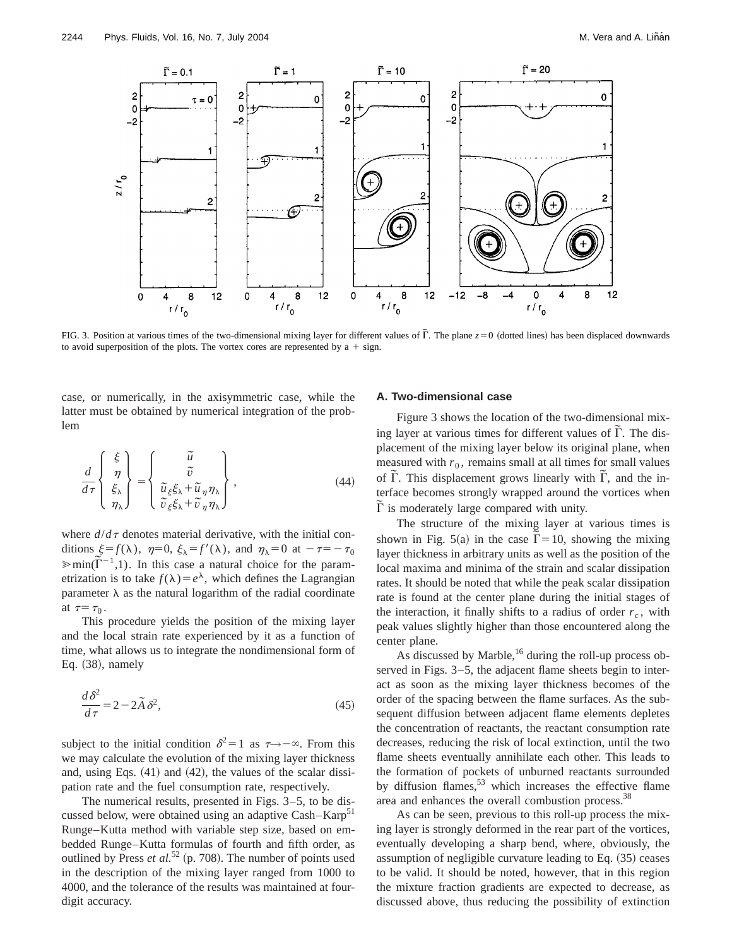

FIG. 3. Position at various times of the two-dimensional mixing layer for different values of  $\tilde{\Gamma}$ . The plane  $z=0$  (dotted lines) has been displaced downwards to avoid superposition of the plots. The vortex cores are represented by  $a + sign$ .

case, or numerically, in the axisymmetric case, while the latter must be obtained by numerical integration of the problem

$$
\frac{d}{d\tau} \begin{Bmatrix} \xi \\ \eta \\ \xi_{\lambda} \\ \eta_{\lambda} \end{Bmatrix} = \begin{Bmatrix} \tilde{u} \\ \tilde{v} \\ \tilde{u}_{\xi}\xi_{\lambda} + \tilde{u}_{\eta}\eta_{\lambda} \\ \tilde{v}_{\xi}\xi_{\lambda} + \tilde{v}_{\eta}\eta_{\lambda} \end{Bmatrix},
$$
(44)

where  $d/d\tau$  denotes material derivative, with the initial conditions  $\xi = f(\lambda)$ ,  $\eta = 0$ ,  $\xi_{\lambda} = f'(\lambda)$ , and  $\eta_{\lambda} = 0$  at  $-\tau = -\tau_0$  $\lim_{\lambda \to 0} \frac{\xi - f(\lambda)}{\lambda}, \frac{\eta - \upsilon}{\lambda - \upsilon}, \frac{\xi - f(\lambda)}{\lambda}, \frac{\xi - \upsilon}{\lambda - \upsilon}$  and  $\eta_{\lambda} - \upsilon$  and  $\eta = \eta_0$ etrization is to take  $f(\lambda) = e^{\lambda}$ , which defines the Lagrangian parameter  $\lambda$  as the natural logarithm of the radial coordinate at  $\tau = \tau_0$ .

This procedure yields the position of the mixing layer and the local strain rate experienced by it as a function of time, what allows us to integrate the nondimensional form of Eq.  $(38)$ , namely

$$
\frac{d\,\delta^2}{d\,\tau} = 2 - 2\tilde{A}\,\delta^2,\tag{45}
$$

subject to the initial condition  $\delta^2=1$  as  $\tau \rightarrow -\infty$ . From this we may calculate the evolution of the mixing layer thickness and, using Eqs.  $(41)$  and  $(42)$ , the values of the scalar dissipation rate and the fuel consumption rate, respectively.

The numerical results, presented in Figs. 3–5, to be discussed below, were obtained using an adaptive Cash–Karp $51$ Runge–Kutta method with variable step size, based on embedded Runge–Kutta formulas of fourth and fifth order, as outlined by Press  $et al.<sup>52</sup>$  (p. 708). The number of points used in the description of the mixing layer ranged from 1000 to 4000, and the tolerance of the results was maintained at fourdigit accuracy.

#### **A. Two-dimensional case**

Figure 3 shows the location of the two-dimensional mixing layer at various times for different values of  $\tilde{\Gamma}$ . The displacement of the mixing layer below its original plane, when measured with  $r_0$ , remains small at all times for small values of  $\overline{\Gamma}$ . This displacement grows linearly with  $\overline{\Gamma}$ , and the interface becomes strongly wrapped around the vortices when F is moderately large compared with unity.

The structure of the mixing layer at various times is shown in Fig. 5(a) in the case  $\tilde{\Gamma} = 10$ , showing the mixing layer thickness in arbitrary units as well as the position of the local maxima and minima of the strain and scalar dissipation rates. It should be noted that while the peak scalar dissipation rate is found at the center plane during the initial stages of the interaction, it finally shifts to a radius of order  $r_c$ , with peak values slightly higher than those encountered along the center plane.

As discussed by Marble,<sup>16</sup> during the roll-up process observed in Figs. 3–5, the adjacent flame sheets begin to interact as soon as the mixing layer thickness becomes of the order of the spacing between the flame surfaces. As the subsequent diffusion between adjacent flame elements depletes the concentration of reactants, the reactant consumption rate decreases, reducing the risk of local extinction, until the two flame sheets eventually annihilate each other. This leads to the formation of pockets of unburned reactants surrounded by diffusion flames,<sup>53</sup> which increases the effective flame area and enhances the overall combustion process.38

As can be seen, previous to this roll-up process the mixing layer is strongly deformed in the rear part of the vortices, eventually developing a sharp bend, where, obviously, the assumption of negligible curvature leading to Eq.  $(35)$  ceases to be valid. It should be noted, however, that in this region the mixture fraction gradients are expected to decrease, as discussed above, thus reducing the possibility of extinction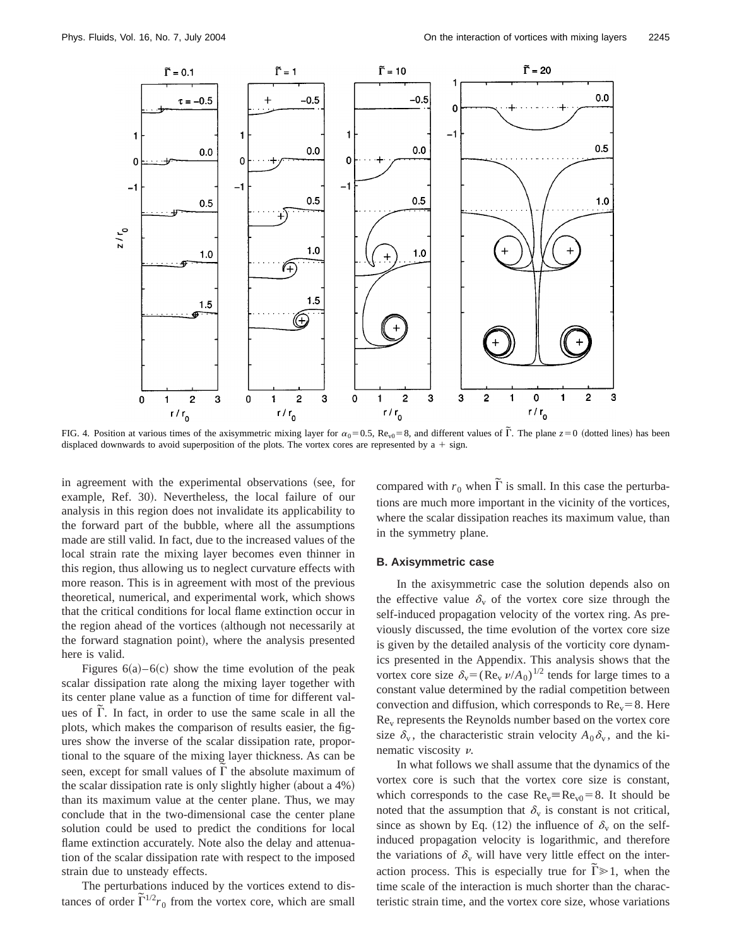

FIG. 4. Position at various times of the axisymmetric mixing layer for  $\alpha_0 = 0.5$ , Re<sub>v0</sub> = 8, and different values of  $\tilde{\Gamma}$ . The plane  $z=0$  (dotted lines) has been displaced downwards to avoid superposition of the plots. The vortex cores are represented by  $a + sign$ .

in agreement with the experimental observations (see, for example, Ref. 30). Nevertheless, the local failure of our analysis in this region does not invalidate its applicability to the forward part of the bubble, where all the assumptions made are still valid. In fact, due to the increased values of the local strain rate the mixing layer becomes even thinner in this region, thus allowing us to neglect curvature effects with more reason. This is in agreement with most of the previous theoretical, numerical, and experimental work, which shows that the critical conditions for local flame extinction occur in the region ahead of the vortices (although not necessarily at the forward stagnation point), where the analysis presented here is valid.

Figures  $6(a) - 6(c)$  show the time evolution of the peak scalar dissipation rate along the mixing layer together with its center plane value as a function of time for different val- $\alpha$  and  $\alpha$  and  $\alpha$  are to use the same scale in all the solution of  $\alpha$ . plots, which makes the comparison of results easier, the figures show the inverse of the scalar dissipation rate, proportional to the square of the mixing layer thickness. As can be seen, except for small values of  $\overline{\Gamma}$  the absolute maximum of the scalar dissipation rate is only slightly higher (about a  $4\%$ ) than its maximum value at the center plane. Thus, we may conclude that in the two-dimensional case the center plane solution could be used to predict the conditions for local flame extinction accurately. Note also the delay and attenuation of the scalar dissipation rate with respect to the imposed strain due to unsteady effects.

The perturbations induced by the vortices extend to distances of order  $\tilde{\Gamma}^{1/2}r_0$  from the vortex core, which are small

compared with  $r_0$  when  $\tilde{\Gamma}$  is small. In this case the perturbations are much more important in the vicinity of the vortices, where the scalar dissipation reaches its maximum value, than in the symmetry plane.

#### **B. Axisymmetric case**

In the axisymmetric case the solution depends also on the effective value  $\delta_{\rm v}$  of the vortex core size through the self-induced propagation velocity of the vortex ring. As previously discussed, the time evolution of the vortex core size is given by the detailed analysis of the vorticity core dynamics presented in the Appendix. This analysis shows that the vortex core size  $\delta_{v} = (Re_{v} v/A_0)^{1/2}$  tends for large times to a constant value determined by the radial competition between convection and diffusion, which corresponds to  $Re<sub>v</sub>=8$ . Here Rev represents the Reynolds number based on the vortex core size  $\delta_{\rm v}$ , the characteristic strain velocity  $A_0 \delta_{\rm v}$ , and the kinematic viscosity  $\nu$ .

In what follows we shall assume that the dynamics of the vortex core is such that the vortex core size is constant, which corresponds to the case  $Re_v=Re_{v0}=8$ . It should be noted that the assumption that  $\delta_{\rm v}$  is constant is not critical, since as shown by Eq. (12) the influence of  $\delta_{\rm v}$  on the selfinduced propagation velocity is logarithmic, and therefore the variations of  $\delta_{\rm v}$  will have very little effect on the interaction process. This is especially true for  $\tilde{\Gamma} \geq 1$ , when the time scale of the interaction is much shorter than the characteristic strain time, and the vortex core size, whose variations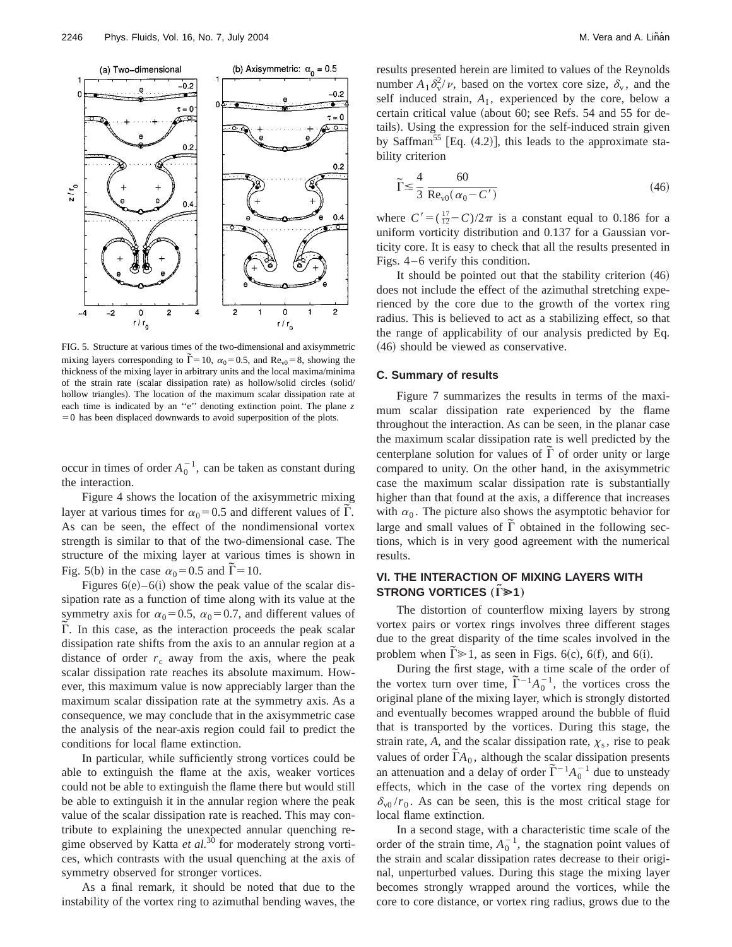

FIG. 5. Structure at various times of the two-dimensional and axisymmetric mixing layers corresponding to  $\tilde{\Gamma} = 10$ ,  $\alpha_0 = 0.5$ , and  $\text{Re}_{v0} = 8$ , showing the thickness of the mixing layer in arbitrary units and the local maxima/minima of the strain rate (scalar dissipation rate) as hollow/solid circles (solid/ hollow triangles). The location of the maximum scalar dissipation rate at each time is indicated by an ''e'' denoting extinction point. The plane *z*  $=0$  has been displaced downwards to avoid superposition of the plots.

occur in times of order  $A_0^{-1}$ , can be taken as constant during the interaction.

Figure 4 shows the location of the axisymmetric mixing layer at various times for  $\alpha_0 = 0.5$  and different values of  $\tilde{\Gamma}$ . As can be seen, the effect of the nondimensional vortex strength is similar to that of the two-dimensional case. The structure of the mixing layer at various times is shown in Fig. 5(b) in the case  $\alpha_0 = 0.5$  and  $\tilde{\Gamma} = 10$ .

Figures  $6(e)$ –6(i) show the peak value of the scalar dissipation rate as a function of time along with its value at the symmetry axis for  $\alpha_0=0.5$ ,  $\alpha_0=0.7$ , and different values of Symmetry axis for  $a_0$  – 0.5,  $a_0$  – 0.7, and directed values of  $\tilde{\Gamma}$ . In this case, as the interaction proceeds the peak scalar dissipation rate shifts from the axis to an annular region at a distance of order  $r_c$  away from the axis, where the peak scalar dissipation rate reaches its absolute maximum. However, this maximum value is now appreciably larger than the maximum scalar dissipation rate at the symmetry axis. As a consequence, we may conclude that in the axisymmetric case the analysis of the near-axis region could fail to predict the conditions for local flame extinction.

In particular, while sufficiently strong vortices could be able to extinguish the flame at the axis, weaker vortices could not be able to extinguish the flame there but would still be able to extinguish it in the annular region where the peak value of the scalar dissipation rate is reached. This may contribute to explaining the unexpected annular quenching regime observed by Katta *et al.*<sup>30</sup> for moderately strong vortices, which contrasts with the usual quenching at the axis of symmetry observed for stronger vortices.

As a final remark, it should be noted that due to the instability of the vortex ring to azimuthal bending waves, the results presented herein are limited to values of the Reynolds number  $A_1 \delta_{\rm v}^2/\nu$ , based on the vortex core size,  $\delta_{\rm v}$ , and the self induced strain,  $A<sub>I</sub>$ , experienced by the core, below a certain critical value (about  $60$ ; see Refs. 54 and 55 for details). Using the expression for the self-induced strain given by Saffman<sup>55</sup> [Eq.  $(4.2)$ ], this leads to the approximate stability criterion

$$
\widetilde{\Gamma} \lesssim \frac{4}{3} \frac{60}{\text{Re}_{\text{v0}}(\alpha_0 - C')}
$$
\n(46)

where  $C' = (\frac{17}{12} - C)/2\pi$  is a constant equal to 0.186 for a uniform vorticity distribution and 0.137 for a Gaussian vorticity core. It is easy to check that all the results presented in Figs. 4–6 verify this condition.

It should be pointed out that the stability criterion  $(46)$ does not include the effect of the azimuthal stretching experienced by the core due to the growth of the vortex ring radius. This is believed to act as a stabilizing effect, so that the range of applicability of our analysis predicted by Eq.  $(46)$  should be viewed as conservative.

#### **C. Summary of results**

Figure 7 summarizes the results in terms of the maximum scalar dissipation rate experienced by the flame throughout the interaction. As can be seen, in the planar case the maximum scalar dissipation rate is well predicted by the centerplane solution for values of  $\tilde{\Gamma}$  of order unity or large compared to unity. On the other hand, in the axisymmetric case the maximum scalar dissipation rate is substantially higher than that found at the axis, a difference that increases with  $\alpha_0$ . The picture also shows the asymptotic behavior for with  $\alpha_0$ . The picture also shows the asymptotic behavior for large and small values of  $\tilde{\Gamma}$  obtained in the following sections, which is in very good agreement with the numerical results.

# **VI. THE INTERACTION OF MIXING LAYERS WITH STRONG VORTICES** ( $\tilde{\Gamma}$  $\geq$ **1**)

The distortion of counterflow mixing layers by strong vortex pairs or vortex rings involves three different stages due to the great disparity of the time scales involved in the problem when  $\overline{\Gamma} \ge 1$ , as seen in Figs. 6(c), 6(f), and 6(i).

During the first stage, with a time scale of the order of Buting the first stage, while a time search of the order of the vortex turn over time,  $\tilde{\Gamma}^{-1}A_0^{-1}$ , the vortices cross the original plane of the mixing layer, which is strongly distorted and eventually becomes wrapped around the bubble of fluid that is transported by the vortices. During this stage, the strain rate,  $A$ , and the scalar dissipation rate,  $\chi_s$ , rise to peak values of order  $\tilde{\Gamma}A_0$ , although the scalar dissipation presents values of order  $17<sub>10</sub>$ , antiough the sealar dissipation presents<br>an attenuation and a delay of order  $\tilde{\Gamma}^{-1}A_0^{-1}$  due to unsteady effects, which in the case of the vortex ring depends on  $\delta_{\rm v0}/r_0$ . As can be seen, this is the most critical stage for local flame extinction.

In a second stage, with a characteristic time scale of the order of the strain time,  $A_0^{-1}$ , the stagnation point values of the strain and scalar dissipation rates decrease to their original, unperturbed values. During this stage the mixing layer becomes strongly wrapped around the vortices, while the core to core distance, or vortex ring radius, grows due to the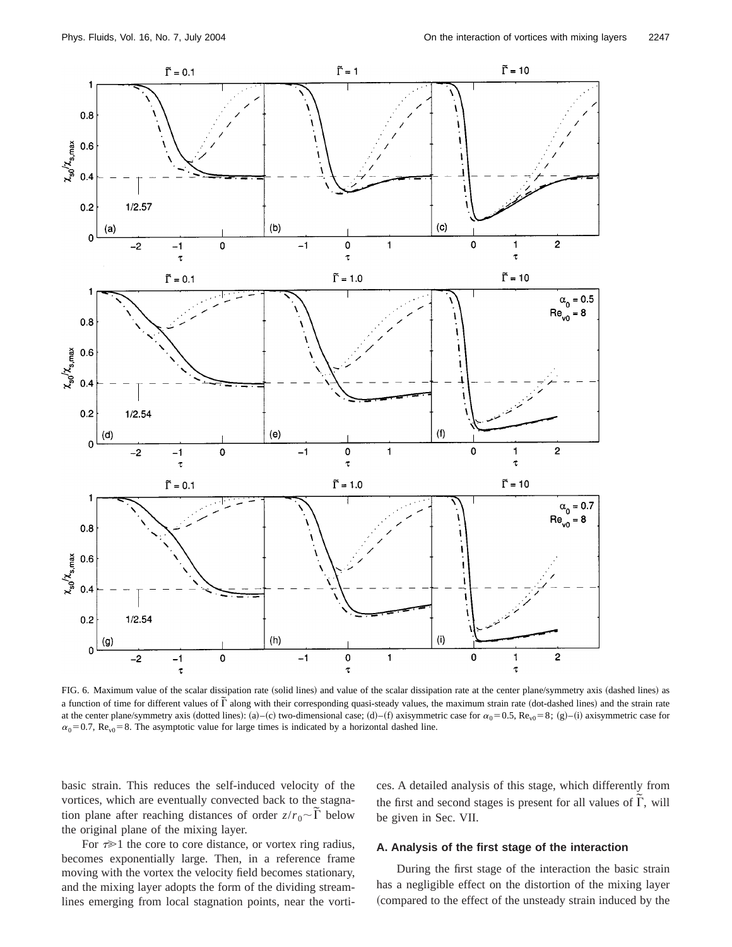

FIG. 6. Maximum value of the scalar dissipation rate (solid lines) and value of the scalar dissipation rate at the center plane/symmetry axis (dashed lines) as a function of time for different values of  $\tilde{\Gamma}$  along with their corresponding quasi-steady values, the maximum strain rate (dot-dashed lines) and the strain rate and the strain rate at the center plane/symmetry axis (dotted lines): (a)–(c) two-dimensional case; (d)–(f) axisymmetric case for  $\alpha_0 = 0.5$ , Re<sub>v0</sub> = 8; (g)–(i) axisymmetric case for  $\alpha_0$ =0.7, Re<sub>v0</sub>=8. The asymptotic value for large times is indicated by a horizontal dashed line.

basic strain. This reduces the self-induced velocity of the vortices, which are eventually convected back to the stagnation plane after reaching distances of order  $z/r_0 \sim \tilde{\Gamma}$  below the original plane of the mixing layer.

ces. A detailed analysis of this stage, which differently from the first and second stages is present for all values of  $\tilde{\Gamma}$ , will be given in Sec. VII.

For  $\tau \gg 1$  the core to core distance, or vortex ring radius, becomes exponentially large. Then, in a reference frame moving with the vortex the velocity field becomes stationary, and the mixing layer adopts the form of the dividing streamlines emerging from local stagnation points, near the vorti-

# **A. Analysis of the first stage of the interaction**

During the first stage of the interaction the basic strain has a negligible effect on the distortion of the mixing layer (compared to the effect of the unsteady strain induced by the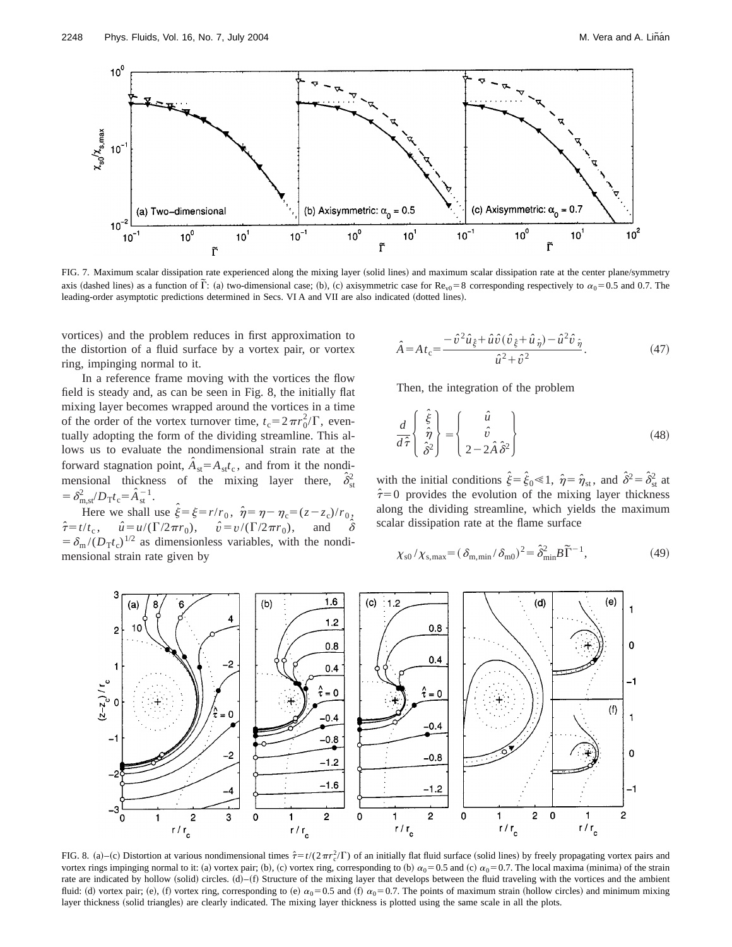

FIG. 7. Maximum scalar dissipation rate experienced along the mixing layer (solid lines) and maximum scalar dissipation rate at the center plane/symmetry axis (dashed lines) as a function of  $\tilde{\Gamma}$ : (a) two-dimensional case; (b), (c) axisymmetric case for  $\text{Re}_{v0} = 8$  corresponding respectively to  $\alpha_0 = 0.5$  and 0.7. The leading-order asymptotic predictions determined in Secs. VI A and VII are also indicated (dotted lines).

vortices) and the problem reduces in first approximation to the distortion of a fluid surface by a vortex pair, or vortex ring, impinging normal to it.

In a reference frame moving with the vortices the flow field is steady and, as can be seen in Fig. 8, the initially flat mixing layer becomes wrapped around the vortices in a time of the order of the vortex turnover time,  $t_c = 2\pi r_0^2/\Gamma$ , eventually adopting the form of the dividing streamline. This allows us to evaluate the nondimensional strain rate at the forward stagnation point,  $\hat{A}_{st} = A_{st}t_c$ , and from it the nondimensional thickness of the mixing layer there,  $\hat{\delta}_{\rm s}^2$ st  $= \delta_{m,st}^2/D_T t_c = \hat{A}_{st}^{-1}.$ 

Here we shall use  $\hat{\xi} = \xi = r/r_0$ ,  $\hat{\eta} = \eta - \eta_c = (z - z_c)/r_0$ ,  $\hat{\tau} = t/t_c$ ,  $\hat{u} = u/(\Gamma/2\pi r_0)$ ,  $\hat{v} = v/(\Gamma/2\pi r_0)$ , and  $\hat{\delta}$  $= \delta_{\rm m}/(D_{\rm T}t_{\rm c})^{1/2}$  as dimensionless variables, with the nondimensional strain rate given by

$$
\hat{A} = A t_c = \frac{-\hat{v}^2 \hat{u}_{\hat{\xi}} + \hat{u} \hat{v} (\hat{v}_{\hat{\xi}} + \hat{u}_{\hat{\eta}}) - \hat{u}^2 \hat{v}_{\hat{\eta}}}{\hat{u}^2 + \hat{v}^2}.
$$
(47)

Then, the integration of the problem

$$
\frac{d}{d\hat{\tau}} \begin{Bmatrix} \hat{\hat{\xi}} \\ \hat{\eta} \\ \hat{\delta}^2 \end{Bmatrix} = \begin{Bmatrix} \hat{u} \\ \hat{v} \\ 2 - 2\hat{A}\hat{\delta}^2 \end{Bmatrix}
$$
(48)

with the initial conditions  $\hat{\xi} = \hat{\xi}_0 \ll 1$ ,  $\hat{\eta} = \hat{\eta}_{st}$ , and  $\hat{\delta}^2 = \hat{\delta}_{st}^2$  at  $\hat{\tau}=0$  provides the evolution of the mixing layer thickness along the dividing streamline, which yields the maximum scalar dissipation rate at the flame surface

$$
\chi_{\rm s0}/\chi_{\rm s,max} = (\delta_{\rm m,min}/\delta_{\rm m0})^2 = \hat{\delta}_{\rm min}^2 B \tilde{\Gamma}^{-1},\tag{49}
$$



FIG. 8. (a)–(c) Distortion at various nondimensional times  $\hat{\tau} = t/(2\pi r_c^2/\Gamma)$  of an initially flat fluid surface (solid lines) by freely propagating vortex pairs and vortex rings impinging normal to it: (a) vortex pair; (b), (c) vortex ring, corresponding to (b)  $\alpha_0 = 0.5$  and (c)  $\alpha_0 = 0.7$ . The local maxima (minima) of the strain rate are indicated by hollow (solid) circles.  $(d) - (f)$  Structure of the mixing layer that develops between the fluid traveling with the vortices and the ambient fluid: (d) vortex pair; (e), (f) vortex ring, corresponding to (e)  $\alpha_0 = 0.5$  and (f)  $\alpha_0 = 0.7$ . The points of maximum strain (hollow circles) and minimum mixing layer thickness (solid triangles) are clearly indicated. The mixing layer thickness is plotted using the same scale in all the plots.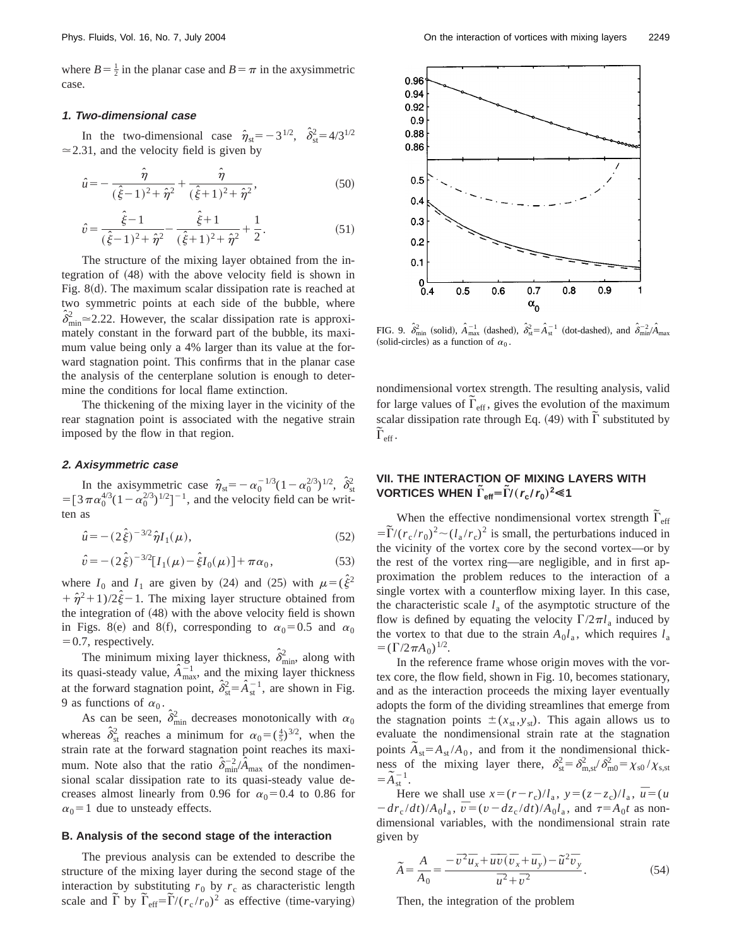where  $B = \frac{1}{2}$  in the planar case and  $B = \pi$  in the axysimmetric case.

#### **1. Two-dimensional case**

In the two-dimensional case  $\hat{\eta}_{st} = -3^{1/2}, \hat{\delta}_{st}^2 = 4/3^{1/2}$  $\approx$  2.31, and the velocity field is given by

$$
\hat{u} = -\frac{\hat{\eta}}{(\hat{\xi} - 1)^2 + \hat{\eta}^2} + \frac{\hat{\eta}}{(\hat{\xi} + 1)^2 + \hat{\eta}^2},\tag{50}
$$

$$
\hat{v} = \frac{\hat{\xi} - 1}{(\hat{\xi} - 1)^2 + \hat{\eta}^2} - \frac{\hat{\xi} + 1}{(\hat{\xi} + 1)^2 + \hat{\eta}^2} + \frac{1}{2}.
$$
\n(51)

The structure of the mixing layer obtained from the integration of  $(48)$  with the above velocity field is shown in Fig.  $8(d)$ . The maximum scalar dissipation rate is reached at two symmetric points at each side of the bubble, where  $\hat{\delta}_{\min}^2$  = 2.22. However, the scalar dissipation rate is approximately constant in the forward part of the bubble, its maximum value being only a 4% larger than its value at the forward stagnation point. This confirms that in the planar case the analysis of the centerplane solution is enough to determine the conditions for local flame extinction.

The thickening of the mixing layer in the vicinity of the rear stagnation point is associated with the negative strain imposed by the flow in that region.

#### **2. Axisymmetric case**

In the axisymmetric case  $\hat{\eta}_{st} = -\alpha_0^{-1/3} (1 - \alpha_0^{2/3})^{1/2}, \hat{\delta}_{st}^2$ =  $[3\pi\alpha_0^{4/3}(1-\alpha_0^{2/3})^{1/2}]^{-1}$ , and the velocity field can be written as

$$
\hat{u} = -(2\hat{\xi})^{-3/2} \hat{\eta} I_1(\mu),\tag{52}
$$

$$
\hat{v} = -(2\hat{\xi})^{-3/2} [I_1(\mu) - \hat{\xi} I_0(\mu)] + \pi \alpha_0, \qquad (53)
$$

where  $I_0$  and  $I_1$  are given by (24) and (25) with  $\mu = (\hat{\xi}^2)$  $+\hat{\eta}^2+1/2\hat{\xi}-1$ . The mixing layer structure obtained from the integration of  $(48)$  with the above velocity field is shown in Figs. 8(e) and 8(f), corresponding to  $\alpha_0 = 0.5$  and  $\alpha_0$  $=0.7$ , respectively.

The minimum mixing layer thickness,  $\hat{\delta}_{\min}^2$ , along with its quasi-steady value,  $\hat{A}^{-1}_{\text{max}}$ , and the mixing layer thickness at the forward stagnation point,  $\hat{\delta}_{st}^2 = \hat{A}_{st}^{-1}$ , are shown in Fig. 9 as functions of  $\alpha_0$ .

As can be seen,  $\hat{\delta}_{\min}^2$  decreases monotonically with  $\alpha_0$ whereas  $\hat{\delta}_{st}^2$  reaches a minimum for  $\alpha_0 = (\frac{4}{5})^{3/2}$ , when the strain rate at the forward stagnation point reaches its maximum. Note also that the ratio  $\hat{\delta}_{\min}^{-2}/\hat{A}_{\max}$  of the nondimensional scalar dissipation rate to its quasi-steady value decreases almost linearly from 0.96 for  $\alpha_0=0.4$  to 0.86 for  $\alpha_0$ =1 due to unsteady effects.

#### **B. Analysis of the second stage of the interaction**

The previous analysis can be extended to describe the structure of the mixing layer during the second stage of the interaction by substituting  $r_0$  by  $r_c$  as characteristic length scale and  $\tilde{\Gamma}$  by  $\tilde{\Gamma}_{\text{eff}} = \tilde{\Gamma}/(r_c/r_0)^2$  as effective (time-varying)



FIG. 9.  $\hat{\delta}_{min}^2$  (solid),  $\hat{A}_{max}^{-1}$  (dashed),  $\hat{\delta}_{st}^2 = \hat{A}_{st}^{-1}$  (dot-dashed), and  $\hat{\delta}_{min}^{-2}/\hat{A}_{max}$ (solid-circles) as a function of  $\alpha_0$ .

nondimensional vortex strength. The resulting analysis, valid for large values of  $\tilde{\Gamma}_{\text{eff}}$ , gives the evolution of the maximum scalar dissipation rate through Eq.  $(49)$  with  $\tilde{\Gamma}$  substituted by  $\tilde{\Gamma}_{\rm eff}$  .

# **VII. THE INTERACTION OF MIXING LAYERS WITH**  $\tilde{\Gamma}_{\text{eff}} = \tilde{\Gamma}/(r_{\text{c}}/r_{\text{0}})^{2}$   $\leq 1$

When the effective nondimensional vortex strength  $\tilde{\Gamma}_{\text{eff}}$  $= \frac{\Gamma}{(r_c/r_0)^2} \sim (l_a/r_c)^2$  is small, the perturbations induced in the vicinity of the vortex core by the second vortex—or by the rest of the vortex ring—are negligible, and in first approximation the problem reduces to the interaction of a single vortex with a counterflow mixing layer. In this case, the characteristic scale  $l_a$  of the asymptotic structure of the flow is defined by equating the velocity  $\Gamma/2\pi l_a$  induced by the vortex to that due to the strain  $A_0 l_a$ , which requires  $l_a$  $= (\Gamma/2\pi A_0)^{1/2}.$ 

In the reference frame whose origin moves with the vortex core, the flow field, shown in Fig. 10, becomes stationary, and as the interaction proceeds the mixing layer eventually adopts the form of the dividing streamlines that emerge from the stagnation points  $\pm(x_{st}, y_{st})$ . This again allows us to evaluate the nondimensional strain rate at the stagnation points  $\tilde{A}_{st} = A_{st}/A_0$ , and from it the nondimensional thickness of the mixing layer there,  $\delta_{st}^2 = \delta_{m,st}^2 / \delta_{m0}^2 = \chi_{s0} / \chi_{s,st}$  $=$  $\tilde{A}_{\text{st}}^{-1}$ .

Here we shall use  $x = (r - r_c)/l_a$ ,  $y = (z - z_c)/l_a$ ,  $\bar{u} = (u$  $-dr_c/dt$ )/ $A_0l_a$ ,  $\overline{v} = (v - dz_c/dt) / A_0l_a$ , and  $\tau = A_0t$  as nondimensional variables, with the nondimensional strain rate given by

$$
\widetilde{A} = \frac{A}{A_0} = \frac{-\overline{v}^2 \overline{u}_x + \overline{u} \overline{v} (\overline{v}_x + \overline{u}_y) - \widetilde{u}^2 \overline{v}_y}{\overline{u}^2 + \overline{v}^2}.
$$
\n(54)

Then, the integration of the problem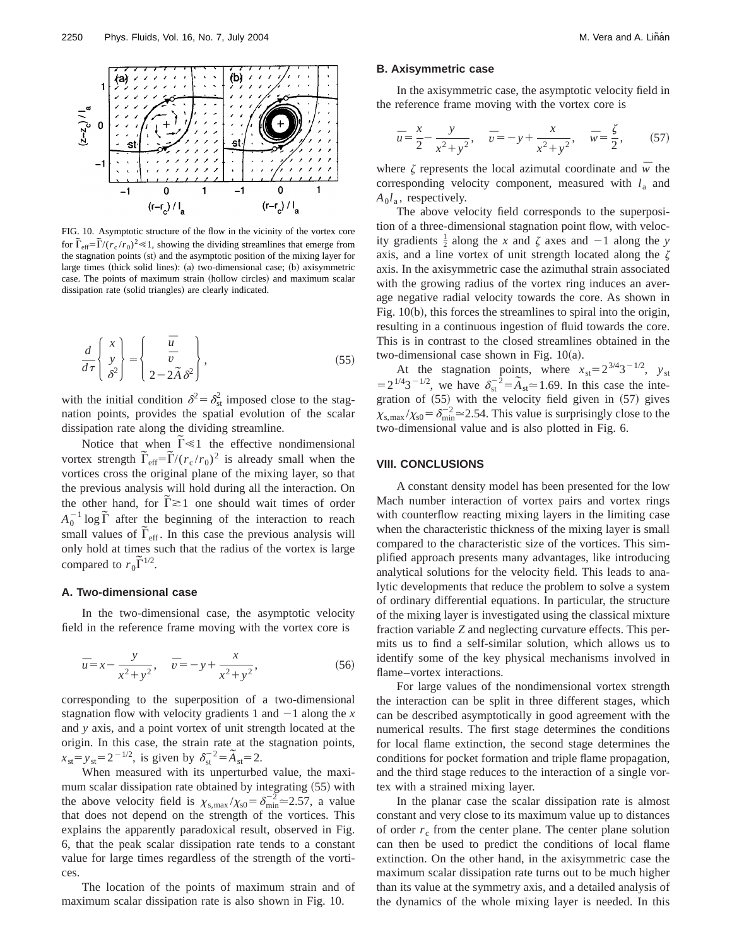

FIG. 10. Asymptotic structure of the flow in the vicinity of the vortex core from G, the restriction statement of the How III are verified to the voltex core for  $\tilde{\Gamma}_{\text{eff}} = \tilde{\Gamma}/(r_c/r_0)^2 \ll 1$ , showing the dividing streamlines that emerge from the stagnation points (st) and the asymptotic position of the mixing layer for large times (thick solid lines): (a) two-dimensional case; (b) axisymmetric case. The points of maximum strain (hollow circles) and maximum scalar dissipation rate (solid triangles) are clearly indicated.

$$
\frac{d}{d\tau} \begin{Bmatrix} x \\ y \\ \delta^2 \end{Bmatrix} = \begin{Bmatrix} \overline{u} \\ \overline{v} \\ 2 - 2\overline{A} \delta^2 \end{Bmatrix},
$$
\n(55)

with the initial condition  $\delta^2 = \delta_{\rm st}^2$  imposed close to the stagnation points, provides the spatial evolution of the scalar dissipation rate along the dividing streamline.

pation rate along the dividing streamline.<br>Notice that when  $\tilde{\Gamma} \ll 1$  the effective nondimensional vortex strength  $\tilde{\Gamma}_{\text{eff}} = \tilde{\Gamma}/(r_c/r_0)^2$  is already small when the vortices cross the original plane of the mixing layer, so that the previous analysis will hold during all the interaction. On the other hand, for  $\tilde{\Gamma} \gtrsim 1$  one should wait times of order  $A_0^{-1} \log \tilde{\Gamma}$  after the beginning of the interaction to reach  $\sum_{i=0}^{\infty}$  and the obtaining of the interaction to reach small values of  $\tilde{\Gamma}_{\text{eff}}$ . In this case the previous analysis will only hold at times such that the radius of the vortex is large compared to  $r_0 \tilde{\Gamma}^{1/2}$ .

### **A. Two-dimensional case**

In the two-dimensional case, the asymptotic velocity field in the reference frame moving with the vortex core is

$$
\bar{u} = x - \frac{y}{x^2 + y^2}, \quad \bar{v} = -y + \frac{x}{x^2 + y^2},
$$
\n(56)

corresponding to the superposition of a two-dimensional stagnation flow with velocity gradients 1 and  $-1$  along the *x* and *y* axis, and a point vortex of unit strength located at the origin. In this case, the strain rate at the stagnation points,  $x_{\text{st}} = y_{\text{st}} = 2^{-1/2}$ , is given by  $\delta_{\text{st}}^{-2} = \tilde{A}_{\text{st}} = 2$ .

When measured with its unperturbed value, the maximum scalar dissipation rate obtained by integrating  $(55)$  with the above velocity field is  $\chi_{s, max}/\chi_{s0} = \delta_{min}^{-2} \approx 2.57$ , a value that does not depend on the strength of the vortices. This explains the apparently paradoxical result, observed in Fig. 6, that the peak scalar dissipation rate tends to a constant value for large times regardless of the strength of the vortices.

The location of the points of maximum strain and of maximum scalar dissipation rate is also shown in Fig. 10.

#### **B. Axisymmetric case**

In the axisymmetric case, the asymptotic velocity field in the reference frame moving with the vortex core is

$$
\bar{u} = \frac{x}{2} - \frac{y}{x^2 + y^2}, \quad \bar{v} = -y + \frac{x}{x^2 + y^2}, \quad \bar{w} = \frac{\zeta}{2},
$$
\n(57)

where  $\zeta$  represents the local azimutal coordinate and  $\bar{w}$  the corresponding velocity component, measured with  $l_a$  and  $A_0 l_a$ , respectively.

The above velocity field corresponds to the superposition of a three-dimensional stagnation point flow, with velocity gradients  $\frac{1}{2}$  along the *x* and  $\zeta$  axes and  $-1$  along the *y* axis, and a line vortex of unit strength located along the  $\zeta$ axis. In the axisymmetric case the azimuthal strain associated with the growing radius of the vortex ring induces an average negative radial velocity towards the core. As shown in Fig.  $10(b)$ , this forces the streamlines to spiral into the origin, resulting in a continuous ingestion of fluid towards the core. This is in contrast to the closed streamlines obtained in the two-dimensional case shown in Fig.  $10(a)$ .

At the stagnation points, where  $x_{st}=2^{3/4}3^{-1/2}$ ,  $y_{st}$  $=2^{1/4}3^{-1/2}$ , we have  $\delta_{st}^{-2} = \tilde{A}_{st} \approx 1.69$ . In this case the integration of  $(55)$  with the velocity field given in  $(57)$  gives  $\chi_{s, \text{max}} / \chi_{s0} = \delta_{\text{min}}^{-2} \approx 2.54$ . This value is surprisingly close to the two-dimensional value and is also plotted in Fig. 6.

#### **VIII. CONCLUSIONS**

A constant density model has been presented for the low Mach number interaction of vortex pairs and vortex rings with counterflow reacting mixing layers in the limiting case when the characteristic thickness of the mixing layer is small compared to the characteristic size of the vortices. This simplified approach presents many advantages, like introducing analytical solutions for the velocity field. This leads to analytic developments that reduce the problem to solve a system of ordinary differential equations. In particular, the structure of the mixing layer is investigated using the classical mixture fraction variable *Z* and neglecting curvature effects. This permits us to find a self-similar solution, which allows us to identify some of the key physical mechanisms involved in flame–vortex interactions.

For large values of the nondimensional vortex strength the interaction can be split in three different stages, which can be described asymptotically in good agreement with the numerical results. The first stage determines the conditions for local flame extinction, the second stage determines the conditions for pocket formation and triple flame propagation, and the third stage reduces to the interaction of a single vortex with a strained mixing layer.

In the planar case the scalar dissipation rate is almost constant and very close to its maximum value up to distances of order  $r_c$  from the center plane. The center plane solution can then be used to predict the conditions of local flame extinction. On the other hand, in the axisymmetric case the maximum scalar dissipation rate turns out to be much higher than its value at the symmetry axis, and a detailed analysis of the dynamics of the whole mixing layer is needed. In this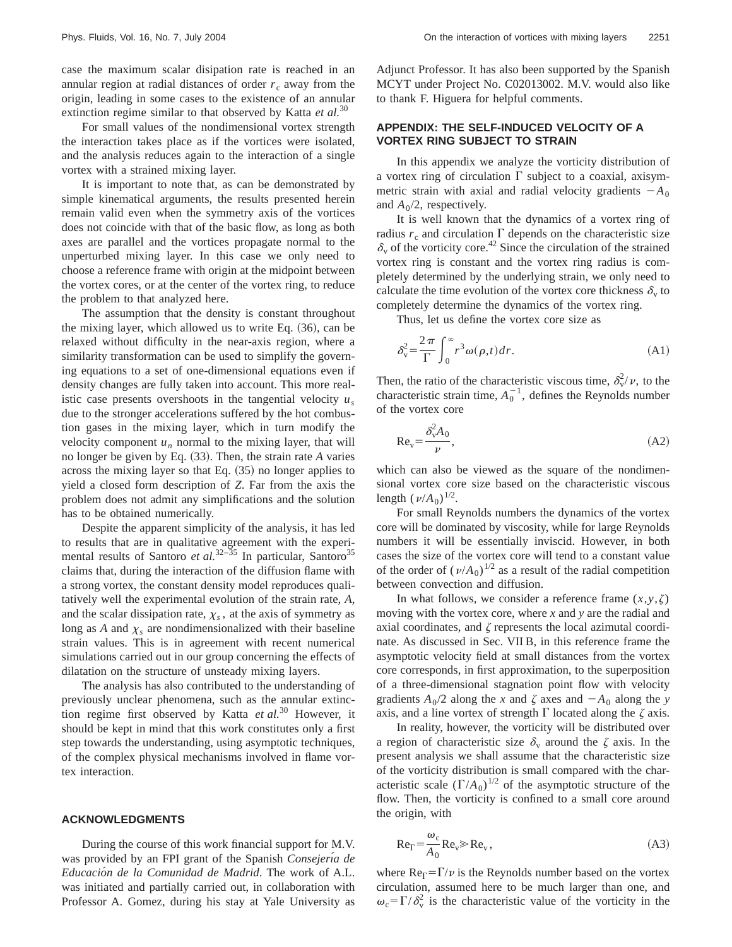case the maximum scalar disipation rate is reached in an annular region at radial distances of order  $r_c$  away from the origin, leading in some cases to the existence of an annular extinction regime similar to that observed by Katta *et al.*<sup>30</sup>

For small values of the nondimensional vortex strength the interaction takes place as if the vortices were isolated, and the analysis reduces again to the interaction of a single vortex with a strained mixing layer.

It is important to note that, as can be demonstrated by simple kinematical arguments, the results presented herein remain valid even when the symmetry axis of the vortices does not coincide with that of the basic flow, as long as both axes are parallel and the vortices propagate normal to the unperturbed mixing layer. In this case we only need to choose a reference frame with origin at the midpoint between the vortex cores, or at the center of the vortex ring, to reduce the problem to that analyzed here.

The assumption that the density is constant throughout the mixing layer, which allowed us to write Eq.  $(36)$ , can be relaxed without difficulty in the near-axis region, where a similarity transformation can be used to simplify the governing equations to a set of one-dimensional equations even if density changes are fully taken into account. This more realistic case presents overshoots in the tangential velocity  $u<sub>s</sub>$ due to the stronger accelerations suffered by the hot combustion gases in the mixing layer, which in turn modify the velocity component  $u_n$  normal to the mixing layer, that will no longer be given by Eq.  $(33)$ . Then, the strain rate *A* varies across the mixing layer so that Eq.  $(35)$  no longer applies to yield a closed form description of *Z*. Far from the axis the problem does not admit any simplifications and the solution has to be obtained numerically.

Despite the apparent simplicity of the analysis, it has led to results that are in qualitative agreement with the experimental results of Santoro *et al.*<sup>32–35</sup> In particular, Santoro<sup>35</sup> claims that, during the interaction of the diffusion flame with a strong vortex, the constant density model reproduces qualitatively well the experimental evolution of the strain rate, *A*, and the scalar dissipation rate,  $\chi_s$ , at the axis of symmetry as long as *A* and  $\chi$ <sub>s</sub> are nondimensionalized with their baseline strain values. This is in agreement with recent numerical simulations carried out in our group concerning the effects of dilatation on the structure of unsteady mixing layers.

The analysis has also contributed to the understanding of previously unclear phenomena, such as the annular extinction regime first observed by Katta *et al.*<sup>30</sup> However, it should be kept in mind that this work constitutes only a first step towards the understanding, using asymptotic techniques, of the complex physical mechanisms involved in flame vortex interaction.

#### **ACKNOWLEDGMENTS**

During the course of this work financial support for M.V. was provided by an FPI grant of the Spanish *Consejeria de Educacio´n de la Comunidad de Madrid*. The work of A.L. was initiated and partially carried out, in collaboration with Professor A. Gomez, during his stay at Yale University as Adjunct Professor. It has also been supported by the Spanish MCYT under Project No. C02013002. M.V. would also like to thank F. Higuera for helpful comments.

# **APPENDIX: THE SELF-INDUCED VELOCITY OF A VORTEX RING SUBJECT TO STRAIN**

In this appendix we analyze the vorticity distribution of a vortex ring of circulation  $\Gamma$  subject to a coaxial, axisymmetric strain with axial and radial velocity gradients  $-A_0$ and  $A_0/2$ , respectively.

It is well known that the dynamics of a vortex ring of radius  $r_c$  and circulation  $\Gamma$  depends on the characteristic size  $\delta_{\rm v}$  of the vorticity core.<sup>42</sup> Since the circulation of the strained vortex ring is constant and the vortex ring radius is completely determined by the underlying strain, we only need to calculate the time evolution of the vortex core thickness  $\delta_{\rm v}$  to completely determine the dynamics of the vortex ring.

Thus, let us define the vortex core size as

$$
\delta_{\rm v}^2 = \frac{2\,\pi}{\Gamma} \int_0^\infty r^3 \omega(\rho, t) dr.
$$
 (A1)

Then, the ratio of the characteristic viscous time,  $\delta_{v}^{2}/\nu$ , to the characteristic strain time,  $A_0^{-1}$ , defines the Reynolds number of the vortex core

$$
\text{Re}_v = \frac{\delta_v^2 A_0}{\nu},\tag{A2}
$$

which can also be viewed as the square of the nondimensional vortex core size based on the characteristic viscous length  $(\nu/A_0)^{1/2}$ .

For small Reynolds numbers the dynamics of the vortex core will be dominated by viscosity, while for large Reynolds numbers it will be essentially inviscid. However, in both cases the size of the vortex core will tend to a constant value of the order of  $(\nu/A_0)^{1/2}$  as a result of the radial competition between convection and diffusion.

In what follows, we consider a reference frame  $(x, y, \zeta)$ moving with the vortex core, where *x* and *y* are the radial and axial coordinates, and  $\zeta$  represents the local azimutal coordinate. As discussed in Sec. VII B, in this reference frame the asymptotic velocity field at small distances from the vortex core corresponds, in first approximation, to the superposition of a three-dimensional stagnation point flow with velocity gradients  $A_0/2$  along the *x* and  $\zeta$  axes and  $-A_0$  along the *y* axis, and a line vortex of strength  $\Gamma$  located along the  $\zeta$  axis.

In reality, however, the vorticity will be distributed over a region of characteristic size  $\delta_{\rm v}$  around the  $\zeta$  axis. In the present analysis we shall assume that the characteristic size of the vorticity distribution is small compared with the characteristic scale  $(\Gamma/A_0)^{1/2}$  of the asymptotic structure of the flow. Then, the vorticity is confined to a small core around the origin, with

$$
Re_{\Gamma} = \frac{\omega_c}{A_0} Re_v \gg Re_v, \tag{A3}
$$

where  $Re_{\Gamma} = \Gamma/\nu$  is the Reynolds number based on the vortex circulation, assumed here to be much larger than one, and  $\omega_c = \Gamma / \delta_v^2$  is the characteristic value of the vorticity in the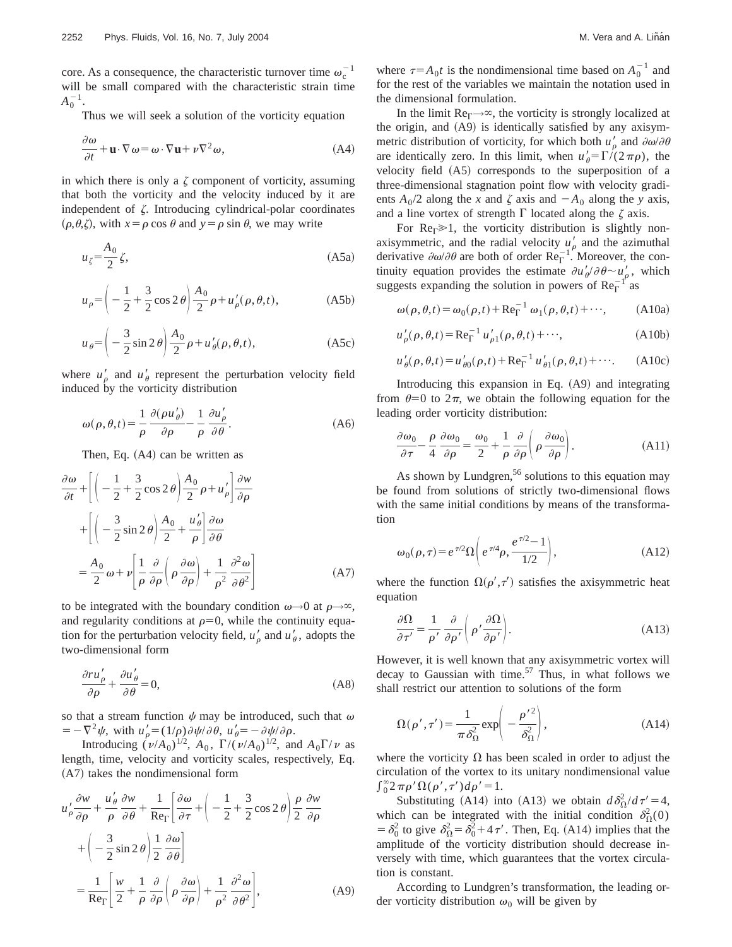core. As a consequence, the characteristic turnover time  $\omega_c^{-1}$ will be small compared with the characteristic strain time  $A_0^{-1}$ .

Thus we will seek a solution of the vorticity equation

$$
\frac{\partial \omega}{\partial t} + \mathbf{u} \cdot \nabla \omega = \omega \cdot \nabla \mathbf{u} + \nu \nabla^2 \omega,
$$
 (A4)

in which there is only a  $\zeta$  component of vorticity, assuming that both the vorticity and the velocity induced by it are independent of  $\zeta$ . Introducing cylindrical-polar coordinates  $(\rho, \theta, \zeta)$ , with  $x = \rho \cos \theta$  and  $y = \rho \sin \theta$ , we may write

$$
u_{\zeta} = \frac{A_0}{2} \zeta,\tag{A5a}
$$

$$
u_{\rho} = \left(-\frac{1}{2} + \frac{3}{2}\cos 2\theta\right) \frac{A_0}{2} \rho + u'_{\rho}(\rho, \theta, t),\tag{A5b}
$$

$$
u_{\theta} = \left(-\frac{3}{2}\sin 2\theta\right)\frac{A_0}{2}\rho + u'_{\theta}(\rho, \theta, t),\tag{A5c}
$$

where  $u'_\rho$  and  $u'_\theta$  represent the perturbation velocity field induced by the vorticity distribution

$$
\omega(\rho,\theta,t) = \frac{1}{\rho} \frac{\partial(\rho u'_{\theta})}{\partial \rho} - \frac{1}{\rho} \frac{\partial u'_{\rho}}{\partial \theta}.
$$
 (A6)

Then, Eq.  $(A4)$  can be written as

$$
\frac{\partial \omega}{\partial t} + \left[ \left( -\frac{1}{2} + \frac{3}{2} \cos 2\theta \right) \frac{A_0}{2} \rho + u'_{\rho} \right] \frac{\partial w}{\partial \rho} \n+ \left[ \left( -\frac{3}{2} \sin 2\theta \right) \frac{A_0}{2} + \frac{u'_{\theta}}{\rho} \right] \frac{\partial \omega}{\partial \theta} \n= \frac{A_0}{2} \omega + v \left[ \frac{1}{\rho} \frac{\partial}{\partial \rho} \left( \rho \frac{\partial \omega}{\partial \rho} \right) + \frac{1}{\rho^2} \frac{\partial^2 \omega}{\partial \theta^2} \right]
$$
\n(A7)

to be integrated with the boundary condition  $\omega \rightarrow 0$  at  $\rho \rightarrow \infty$ , and regularity conditions at  $\rho=0$ , while the continuity equation for the perturbation velocity field,  $u'_\rho$  and  $u'_\theta$ , adopts the two-dimensional form

$$
\frac{\partial r u'_{\rho}}{\partial \rho} + \frac{\partial u'_{\theta}}{\partial \theta} = 0,
$$
 (A8)

so that a stream function  $\psi$  may be introduced, such that  $\omega$  $= -\nabla^2 \psi$ , with  $u'_\rho = (1/\rho)\partial \psi / \partial \theta$ ,  $u'_\theta = -\partial \psi / \partial \rho$ .

Introducing  $(\nu/A_0)^{1/2}$ ,  $A_0$ ,  $\Gamma/(\nu/A_0)^{1/2}$ , and  $A_0\Gamma/\nu$  as length, time, velocity and vorticity scales, respectively, Eq.  $(A7)$  takes the nondimensional form

$$
u'_{\rho} \frac{\partial w}{\partial \rho} + \frac{u'_{\theta}}{\rho} \frac{\partial w}{\partial \theta} + \frac{1}{\text{Re}_{\Gamma}} \left[ \frac{\partial \omega}{\partial \tau} + \left( -\frac{1}{2} + \frac{3}{2} \cos 2 \theta \right) \frac{\rho}{2} \frac{\partial w}{\partial \rho} + \left( -\frac{3}{2} \sin 2 \theta \right) \frac{1}{2} \frac{\partial \omega}{\partial \theta} \right]
$$

$$
= \frac{1}{\text{Re}_{\Gamma}} \left[ \frac{w}{2} + \frac{1}{\rho} \frac{\partial}{\partial \rho} \left( \rho \frac{\partial \omega}{\partial \rho} \right) + \frac{1}{\rho^2} \frac{\partial^2 \omega}{\partial \theta^2} \right], \tag{A9}
$$

where  $\tau = A_0 t$  is the nondimensional time based on  $A_0^{-1}$  and for the rest of the variables we maintain the notation used in the dimensional formulation.

In the limit  $\text{Re}_{\Gamma} \rightarrow \infty$ , the vorticity is strongly localized at the origin, and  $(A9)$  is identically satisfied by any axisymmetric distribution of vorticity, for which both  $u'_{\rho}$  and  $\partial \omega / \partial \theta$ are identically zero. In this limit, when  $u'_{\theta} = \Gamma/(2 \pi \rho)$ , the velocity field (A5) corresponds to the superposition of a three-dimensional stagnation point flow with velocity gradients  $A_0/2$  along the *x* and  $\zeta$  axis and  $-A_0$  along the *y* axis, and a line vortex of strength  $\Gamma$  located along the  $\zeta$  axis.

For Re $\Gamma \gg 1$ , the vorticity distribution is slightly nonaxisymmetric, and the radial velocity  $u'_{\rho}$  and the azimuthal derivative  $\partial \omega / \partial \theta$  are both of order  $\text{Re}_{\Gamma}^{-1}$ . Moreover, the continuity equation provides the estimate  $\partial u'_{\theta}/\partial \theta \sim u'_{\rho}$ , which suggests expanding the solution in powers of  $Re_{\Gamma}^{-1}$ <sup>r</sup> as

$$
\omega(\rho,\theta,t) = \omega_0(\rho,t) + \text{Re}_{\Gamma}^{-1} \omega_1(\rho,\theta,t) + \cdots,
$$
 (A10a)

$$
u'_{\rho}(\rho,\theta,t) = \text{Re}_{\Gamma}^{-1} u'_{\rho 1}(\rho,\theta,t) + \cdots,
$$
 (A10b)

$$
u'_{\theta}(\rho,\theta,t) = u'_{\theta 0}(\rho,t) + \text{Re}_{\Gamma}^{-1} u'_{\theta 1}(\rho,\theta,t) + \cdots. \tag{A10c}
$$

Introducing this expansion in Eq.  $(A9)$  and integrating from  $\theta=0$  to  $2\pi$ , we obtain the following equation for the leading order vorticity distribution:

$$
\frac{\partial \omega_0}{\partial \tau} - \frac{\rho}{4} \frac{\partial \omega_0}{\partial \rho} = \frac{\omega_0}{2} + \frac{1}{\rho} \frac{\partial}{\partial \rho} \left( \rho \frac{\partial \omega_0}{\partial \rho} \right).
$$
 (A11)

As shown by Lundgren,<sup>56</sup> solutions to this equation may be found from solutions of strictly two-dimensional flows with the same initial conditions by means of the transformation

$$
\omega_0(\rho, \tau) = e^{\tau/2} \Omega \left( e^{\tau/4} \rho, \frac{e^{\tau/2} - 1}{1/2} \right), \tag{A12}
$$

where the function  $\Omega(\rho', \tau')$  satisfies the axisymmetric heat equation

$$
\frac{\partial \Omega}{\partial \tau'} = \frac{1}{\rho'} \frac{\partial}{\partial \rho'} \left( \rho' \frac{\partial \Omega}{\partial \rho'} \right).
$$
 (A13)

However, it is well known that any axisymmetric vortex will decay to Gaussian with time.<sup>57</sup> Thus, in what follows we shall restrict our attention to solutions of the form

$$
\Omega(\rho', \tau') = \frac{1}{\pi \delta_{\Omega}^2} \exp\left(-\frac{\rho'^2}{\delta_{\Omega}^2}\right),\tag{A14}
$$

where the vorticity  $\Omega$  has been scaled in order to adjust the circulation of the vortex to its unitary nondimensional value  $\int_0^\infty 2\,\pi \rho' \Omega(\rho',\tau') d\rho' = 1.$ 

Substituting (A14) into (A13) we obtain  $d\delta_{\Omega}^2/d\tau' = 4$ , which can be integrated with the initial condition  $\delta_{\Omega}^2(0)$ =  $\delta_0^2$  to give  $\delta_{\Omega}^2 = \delta_0^2 + 4\tau'$ . Then, Eq. (A14) implies that the amplitude of the vorticity distribution should decrease inversely with time, which guarantees that the vortex circulation is constant.

According to Lundgren's transformation, the leading order vorticity distribution  $\omega_0$  will be given by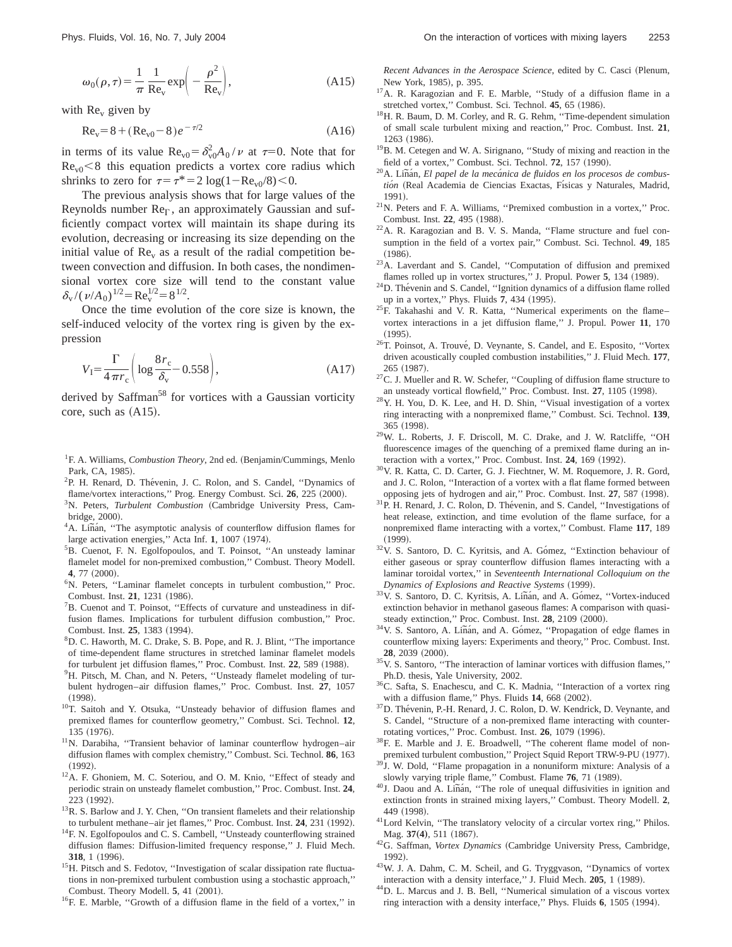$$
\omega_0(\rho, \tau) = \frac{1}{\pi} \frac{1}{\text{Re}_v} \exp\left(-\frac{\rho^2}{\text{Re}_v}\right),\tag{A15}
$$

with  $Re<sub>v</sub>$  given by

$$
Re_v = 8 + (Re_{v0} - 8)e^{-\tau/2}
$$
 (A16)

in terms of its value  $\text{Re}_{v0} = \delta_{v0}^2 A_0 / \nu$  at  $\tau = 0$ . Note that for  $Re<sub>v0</sub> < 8$  this equation predicts a vortex core radius which shrinks to zero for  $\tau=\tau^*=2\log(1-\text{Re}_{\text{v0}}/8)\leq0.$ 

The previous analysis shows that for large values of the Reynolds number  $\text{Re}_{\Gamma}$ , an approximately Gaussian and sufficiently compact vortex will maintain its shape during its evolution, decreasing or increasing its size depending on the initial value of  $\text{Re}_v$  as a result of the radial competition between convection and diffusion. In both cases, the nondimensional vortex core size will tend to the constant value  $\delta_{\rm v}/(\nu/A_0)^{1/2}$  = Re<sub>v</sub><sup>1/2</sup> = 8<sup>1/2</sup>.

Once the time evolution of the core size is known, the self-induced velocity of the vortex ring is given by the expression

$$
V_{\rm I} = \frac{\Gamma}{4\,\pi r_{\rm c}} \bigg( \log \frac{8r_{\rm c}}{\delta_{\rm v}} - 0.558 \bigg),\tag{A17}
$$

derived by Saffman<sup>58</sup> for vortices with a Gaussian vorticity core, such as  $(A15)$ .

- <sup>1</sup>F. A. Williams, *Combustion Theory*, 2nd ed. (Benjamin/Cummings, Menlo Park, CA, 1985).
- <sup>2</sup>P. H. Renard, D. Thévenin, J. C. Rolon, and S. Candel, "Dynamics of flame/vortex interactions," Prog. Energy Combust. Sci. 26, 225 (2000).
- <sup>3</sup>N. Peters, *Turbulent Combustion* (Cambridge University Press, Cambridge, 2000).<br><sup>4</sup>A. Liñán, ''The asymptotic analysis of counterflow diffusion flames for
- large activation energies," Acta Inf. 1, 1007 (1974).
- <sup>5</sup>B. Cuenot, F. N. Egolfopoulos, and T. Poinsot, "An unsteady laminar flamelet model for non-premixed combustion,'' Combust. Theory Modell. 4, 77 (2000).
- 6N. Peters, ''Laminar flamelet concepts in turbulent combustion,'' Proc. Combust. Inst. 21, 1231 (1986).
- <sup>7</sup>B. Cuenot and T. Poinsot, "Effects of curvature and unsteadiness in diffusion flames. Implications for turbulent diffusion combustion,'' Proc. Combust. Inst. 25, 1383 (1994).
- 8 D. C. Haworth, M. C. Drake, S. B. Pope, and R. J. Blint, ''The importance of time-dependent flame structures in stretched laminar flamelet models for turbulent jet diffusion flames," Proc. Combust. Inst. 22, 589 (1988).
- <sup>9</sup>H. Pitsch, M. Chan, and N. Peters, "Unsteady flamelet modeling of turbulent hydrogen–air diffusion flames,'' Proc. Combust. Inst. **27**, 1057  $(1998).$
- 10T. Saitoh and Y. Otsuka, ''Unsteady behavior of diffusion flames and premixed flames for counterflow geometry,'' Combust. Sci. Technol. **12**, 135 (1976).
- 11N. Darabiha, ''Transient behavior of laminar counterflow hydrogen–air diffusion flames with complex chemistry,'' Combust. Sci. Technol. **86**, 163  $(1992).$
- <sup>12</sup>A. F. Ghoniem, M. C. Soteriou, and O. M. Knio, "Effect of steady and periodic strain on unsteady flamelet combustion,'' Proc. Combust. Inst. **24**, 223 (1992).
- <sup>13</sup>R. S. Barlow and J. Y. Chen, "On transient flamelets and their relationship to turbulent methane–air jet flames," Proc. Combust. Inst. 24, 231 (1992).
- <sup>14</sup>F. N. Egolfopoulos and C. S. Cambell, "Unsteady counterflowing strained diffusion flames: Diffusion-limited frequency response,'' J. Fluid Mech. **318**, 1 (1996).
- <sup>15</sup>H. Pitsch and S. Fedotov, "Investigation of scalar dissipation rate fluctuations in non-premixed turbulent combustion using a stochastic approach,'' Combust. Theory Modell. **5**, 41 (2001).
- <sup>16</sup>F. E. Marble, "Growth of a diffusion flame in the field of a vortex," in

*Recent Advances in the Aerospace Science*, edited by C. Casci (Plenum, New York, 1985), p. 395.

- <sup>17</sup>A. R. Karagozian and F. E. Marble, "Study of a diffusion flame in a stretched vortex," Combust. Sci. Technol. 45, 65 (1986).
- <sup>18</sup>H. R. Baum, D. M. Corley, and R. G. Rehm, "Time-dependent simulation of small scale turbulent mixing and reaction,'' Proc. Combust. Inst. **21**, 1263 (1986).
- $19B$ . M. Cetegen and W. A. Sirignano, "Study of mixing and reaction in the field of a vortex," Combust. Sci. Technol. 72, 157 (1990).
- <sup>20</sup>A. Liñán, *El papel de la mecánica de fluidos en los procesos de combus*tión (Real Academia de Ciencias Exactas, Físicas y Naturales, Madrid, 1991!.
- 21N. Peters and F. A. Williams, ''Premixed combustion in a vortex,'' Proc. Combust. Inst. 22, 495 (1988).
- 22A. R. Karagozian and B. V. S. Manda, ''Flame structure and fuel consumption in the field of a vortex pair,'' Combust. Sci. Technol. **49**, 185  $(1986).$
- <sup>23</sup>A. Laverdant and S. Candel, "Computation of diffusion and premixed flames rolled up in vortex structures," J. Propul. Power 5, 134 (1989).
- $24$ D. Thévenin and S. Candel, "Ignition dynamics of a diffusion flame rolled up in a vortex," Phys. Fluids 7, 434 (1995).
- <sup>25</sup>F. Takahashi and V. R. Katta, "Numerical experiments on the flamevortex interactions in a jet diffusion flame,'' J. Propul. Power **11**, 170  $(1995).$
- $^{26}$ T. Poinsot, A. Trouvé, D. Veynante, S. Candel, and E. Esposito, "Vortex driven acoustically coupled combustion instabilities,'' J. Fluid Mech. **177**, 265 (1987).
- $27$ C. J. Mueller and R. W. Schefer, "Coupling of diffusion flame structure to an unsteady vortical flowfield," Proc. Combust. Inst. 27, 1105 (1998).
- 28Y. H. You, D. K. Lee, and H. D. Shin, ''Visual investigation of a vortex ring interacting with a nonpremixed flame,'' Combust. Sci. Technol. **139**, 365 (1998).
- 29W. L. Roberts, J. F. Driscoll, M. C. Drake, and J. W. Ratcliffe, ''OH fluorescence images of the quenching of a premixed flame during an interaction with a vortex," Proc. Combust. Inst. 24, 169 (1992).
- 30V. R. Katta, C. D. Carter, G. J. Fiechtner, W. M. Roquemore, J. R. Gord, and J. C. Rolon, ''Interaction of a vortex with a flat flame formed between opposing jets of hydrogen and air," Proc. Combust. Inst. 27, 587 (1998).
- <sup>31</sup>P. H. Renard, J. C. Rolon, D. Thévenin, and S. Candel, "Investigations of heat release, extinction, and time evolution of the flame surface, for a nonpremixed flame interacting with a vortex,'' Combust. Flame **117**, 189  $(1999).$
- <sup>32</sup>V. S. Santoro, D. C. Kyritsis, and A. Gómez, "Extinction behaviour of either gaseous or spray counterflow diffusion flames interacting with a laminar toroidal vortex,'' in *Seventeenth International Colloquium on the*
- *Dynamics of Explosions and Reactive Systems* (1999). <sup>33</sup>V. S. Santoro, D. C. Kyritsis, A. Liñán, and A. Gómez, ''Vortex-induced extinction behavior in methanol gaseous flames: A comparison with quasi-
- steady extinction," Proc. Combust. Inst. **28**, 2109 (2000). <sup>34</sup>V. S. Santoro, A. Liñán, and A. Gómez, ''Propagation of edge flames in counterflow mixing layers: Experiments and theory,'' Proc. Combust. Inst. **28**, 2039 (2000).
- 35V. S. Santoro, ''The interaction of laminar vortices with diffusion flames,'' Ph.D. thesis, Yale University, 2002.
- 36C. Safta, S. Enachescu, and C. K. Madnia, ''Interaction of a vortex ring with a diffusion flame," Phys. Fluids  $14$ , 668  $(2002)$ .
- <sup>37</sup>D. Thévenin, P.-H. Renard, J. C. Rolon, D. W. Kendrick, D. Veynante, and S. Candel, ''Structure of a non-premixed flame interacting with counterrotating vortices," Proc. Combust. Inst. **26**, 1079 (1996).
- 38F. E. Marble and J. E. Broadwell, ''The coherent flame model of nonpremixed turbulent combustion," Project Squid Report TRW-9-PU (1977).
- <sup>39</sup>J. W. Dold, "Flame propagation in a nonuniform mixture: Analysis of a
- slowly varying triple flame,'' Combust. Flame **76**, 71 (1989).<br><sup>40</sup>J. Daou and A. Liñán, "The role of unequal diffusivities in ignition and extinction fronts in strained mixing layers,'' Combust. Theory Modell. **2**, 449 (1998).
- 41Lord Kelvin, ''The translatory velocity of a circular vortex ring,'' Philos. Mag. **37(4)**, 511 (1867).<br><sup>42</sup>G. Saffman, *Vortex Dynamics* (Cambridge University Press, Cambridge,
- 1992).
- 43W. J. A. Dahm, C. M. Scheil, and G. Tryggvason, ''Dynamics of vortex interaction with a density interface," J. Fluid Mech. 205, 1 (1989).
- 44D. L. Marcus and J. B. Bell, ''Numerical simulation of a viscous vortex ring interaction with a density interface," Phys. Fluids 6, 1505 (1994).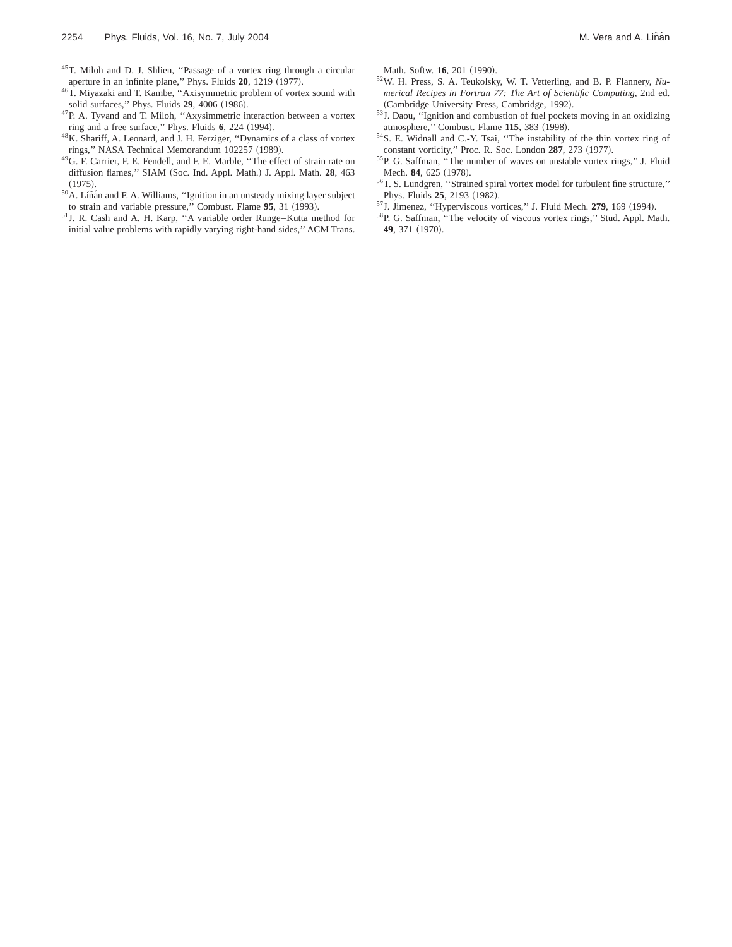- 45T. Miloh and D. J. Shlien, ''Passage of a vortex ring through a circular aperture in an infinite plane," Phys. Fluids 20, 1219 (1977).
- <sup>46</sup>T. Miyazaki and T. Kambe, "Axisymmetric problem of vortex sound with solid surfaces," Phys. Fluids **29**, 4006 (1986).
- 47P. A. Tyvand and T. Miloh, ''Axysimmetric interaction between a vortex ring and a free surface," Phys. Fluids 6, 224 (1994).
- 48K. Shariff, A. Leonard, and J. H. Ferziger, ''Dynamics of a class of vortex rings," NASA Technical Memorandum 102257 (1989).
- 49G. F. Carrier, F. E. Fendell, and F. E. Marble, ''The effect of strain rate on diffusion flames," SIAM (Soc. Ind. Appl. Math.) J. Appl. Math. 28, 463
- $^{1975}$ . 1975). <sup>50</sup>A. Liñán and F. A. Williams, "Ignition in an unsteady mixing layer subject to strain and variable pressure," Combust. Flame 95, 31 (1993).
- 51J. R. Cash and A. H. Karp, ''A variable order Runge–Kutta method for initial value problems with rapidly varying right-hand sides,'' ACM Trans.

Math. Softw. **16**, 201 (1990).

- 52W. H. Press, S. A. Teukolsky, W. T. Vetterling, and B. P. Flannery, *Numerical Recipes in Fortran 77: The Art of Scientific Computing*, 2nd ed. (Cambridge University Press, Cambridge, 1992).
- 53J. Daou, ''Ignition and combustion of fuel pockets moving in an oxidizing atmosphere," Combust. Flame 115, 383 (1998).
- 54S. E. Widnall and C.-Y. Tsai, ''The instability of the thin vortex ring of constant vorticity," Proc. R. Soc. London 287, 273 (1977).
- 55P. G. Saffman, ''The number of waves on unstable vortex rings,'' J. Fluid Mech. 84, 625 (1978).
- 56T. S. Lundgren, ''Strained spiral vortex model for turbulent fine structure,'' Phys. Fluids 25, 2193 (1982).
- <sup>57</sup>J. Jimenez, "Hyperviscous vortices," J. Fluid Mech. **279**, 169 (1994).
- 58P. G. Saffman, ''The velocity of viscous vortex rings,'' Stud. Appl. Math. 49, 371 (1970).